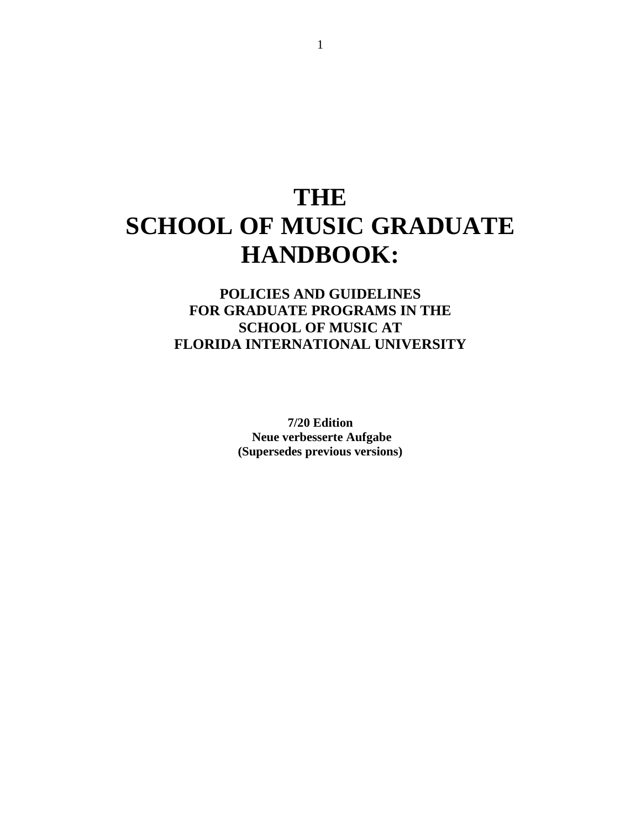# **THE SCHOOL OF MUSIC GRADUATE HANDBOOK:**

# **POLICIES AND GUIDELINES FOR GRADUATE PROGRAMS IN THE SCHOOL OF MUSIC AT FLORIDA INTERNATIONAL UNIVERSITY**

**7/20 Edition Neue verbesserte Aufgabe (Supersedes previous versions)**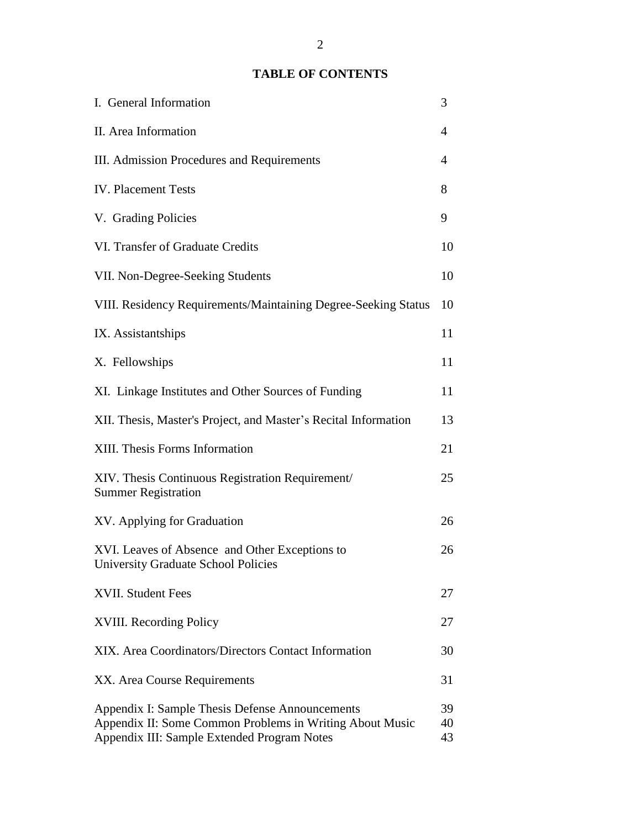# **TABLE OF CONTENTS**

| I. General Information                                                                                                                                     | 3              |
|------------------------------------------------------------------------------------------------------------------------------------------------------------|----------------|
| II. Area Information                                                                                                                                       | 4              |
| III. Admission Procedures and Requirements                                                                                                                 | 4              |
| <b>IV.</b> Placement Tests                                                                                                                                 | 8              |
| V. Grading Policies                                                                                                                                        | 9              |
| VI. Transfer of Graduate Credits                                                                                                                           | 10             |
| VII. Non-Degree-Seeking Students                                                                                                                           | 10             |
| VIII. Residency Requirements/Maintaining Degree-Seeking Status                                                                                             | 10             |
| IX. Assistantships                                                                                                                                         | 11             |
| X. Fellowships                                                                                                                                             | 11             |
| XI. Linkage Institutes and Other Sources of Funding                                                                                                        | 11             |
| XII. Thesis, Master's Project, and Master's Recital Information                                                                                            | 13             |
| XIII. Thesis Forms Information                                                                                                                             | 21             |
| XIV. Thesis Continuous Registration Requirement/<br><b>Summer Registration</b>                                                                             | 25             |
| XV. Applying for Graduation                                                                                                                                | 26             |
| XVI. Leaves of Absence and Other Exceptions to<br><b>University Graduate School Policies</b>                                                               | 26             |
| XVII. Student Fees                                                                                                                                         | 27             |
| <b>XVIII.</b> Recording Policy                                                                                                                             | 27             |
| XIX. Area Coordinators/Directors Contact Information                                                                                                       | 30             |
| XX. Area Course Requirements                                                                                                                               | 31             |
| Appendix I: Sample Thesis Defense Announcements<br>Appendix II: Some Common Problems in Writing About Music<br>Appendix III: Sample Extended Program Notes | 39<br>40<br>43 |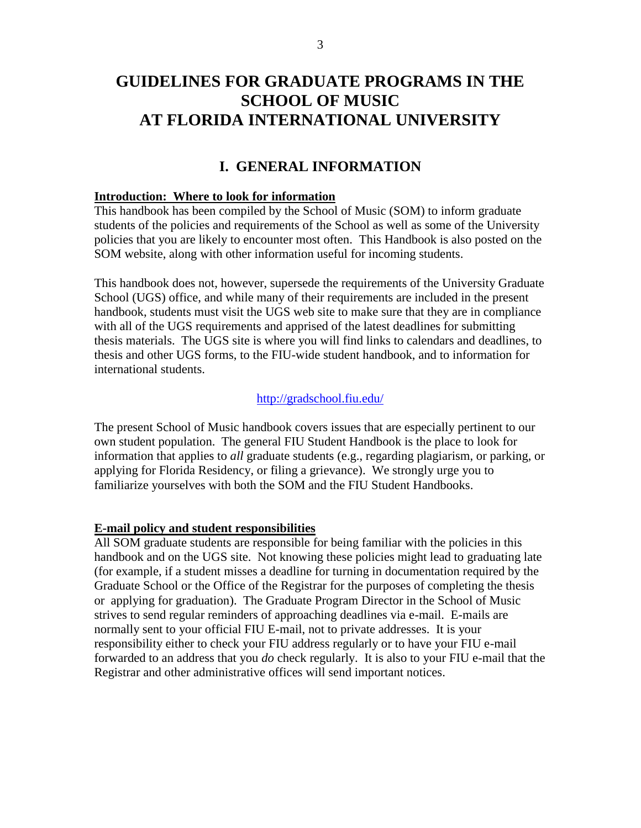# **GUIDELINES FOR GRADUATE PROGRAMS IN THE SCHOOL OF MUSIC AT FLORIDA INTERNATIONAL UNIVERSITY**

# **I. GENERAL INFORMATION**

#### **Introduction: Where to look for information**

This handbook has been compiled by the School of Music (SOM) to inform graduate students of the policies and requirements of the School as well as some of the University policies that you are likely to encounter most often. This Handbook is also posted on the SOM website, along with other information useful for incoming students.

This handbook does not, however, supersede the requirements of the University Graduate School (UGS) office, and while many of their requirements are included in the present handbook, students must visit the UGS web site to make sure that they are in compliance with all of the UGS requirements and apprised of the latest deadlines for submitting thesis materials. The UGS site is where you will find links to calendars and deadlines, to thesis and other UGS forms, to the FIU-wide student handbook, and to information for international students.

#### <http://gradschool.fiu.edu/>

The present School of Music handbook covers issues that are especially pertinent to our own student population. The general FIU Student Handbook is the place to look for information that applies to *all* graduate students (e.g., regarding plagiarism, or parking, or applying for Florida Residency, or filing a grievance). We strongly urge you to familiarize yourselves with both the SOM and the FIU Student Handbooks.

#### **E-mail policy and student responsibilities**

All SOM graduate students are responsible for being familiar with the policies in this handbook and on the UGS site. Not knowing these policies might lead to graduating late (for example, if a student misses a deadline for turning in documentation required by the Graduate School or the Office of the Registrar for the purposes of completing the thesis or applying for graduation). The Graduate Program Director in the School of Music strives to send regular reminders of approaching deadlines via e-mail. E-mails are normally sent to your official FIU E-mail, not to private addresses. It is your responsibility either to check your FIU address regularly or to have your FIU e-mail forwarded to an address that you *do* check regularly. It is also to your FIU e-mail that the Registrar and other administrative offices will send important notices.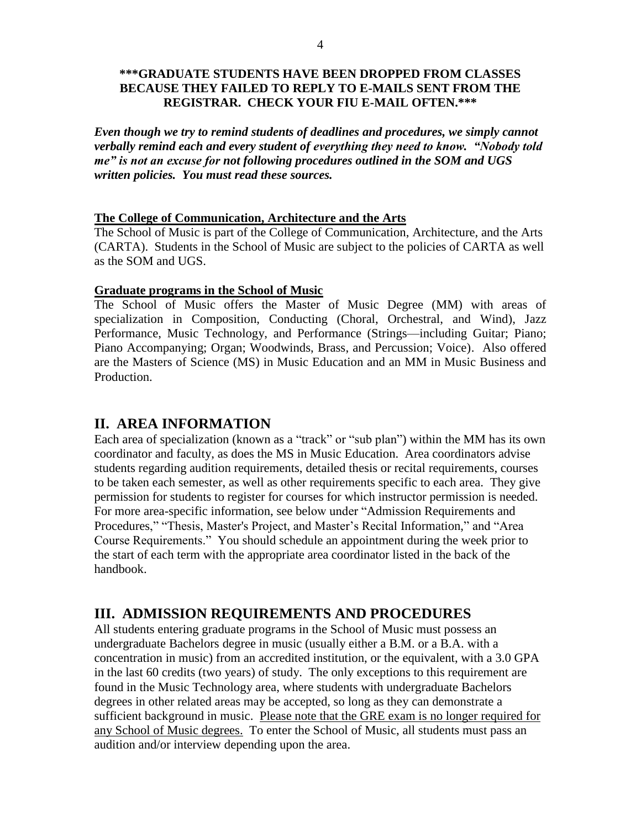## **\*\*\*GRADUATE STUDENTS HAVE BEEN DROPPED FROM CLASSES BECAUSE THEY FAILED TO REPLY TO E-MAILS SENT FROM THE REGISTRAR. CHECK YOUR FIU E-MAIL OFTEN.\*\*\***

*Even though we try to remind students of deadlines and procedures, we simply cannot verbally remind each and every student of everything they need to know. "Nobody told me" is not an excuse for not following procedures outlined in the SOM and UGS written policies. You must read these sources.* 

#### **The College of Communication, Architecture and the Arts**

The School of Music is part of the College of Communication, Architecture, and the Arts (CARTA). Students in the School of Music are subject to the policies of CARTA as well as the SOM and UGS.

#### **Graduate programs in the School of Music**

The School of Music offers the Master of Music Degree (MM) with areas of specialization in Composition, Conducting (Choral, Orchestral, and Wind), Jazz Performance, Music Technology, and Performance (Strings—including Guitar; Piano; Piano Accompanying; Organ; Woodwinds, Brass, and Percussion; Voice). Also offered are the Masters of Science (MS) in Music Education and an MM in Music Business and Production.

# **II. AREA INFORMATION**

Each area of specialization (known as a "track" or "sub plan") within the MM has its own coordinator and faculty, as does the MS in Music Education. Area coordinators advise students regarding audition requirements, detailed thesis or recital requirements, courses to be taken each semester, as well as other requirements specific to each area. They give permission for students to register for courses for which instructor permission is needed. For more area-specific information, see below under "Admission Requirements and Procedures," "Thesis, Master's Project, and Master's Recital Information," and "Area Course Requirements." You should schedule an appointment during the week prior to the start of each term with the appropriate area coordinator listed in the back of the handbook.

# **III. ADMISSION REQUIREMENTS AND PROCEDURES**

All students entering graduate programs in the School of Music must possess an undergraduate Bachelors degree in music (usually either a B.M. or a B.A. with a concentration in music) from an accredited institution, or the equivalent, with a 3.0 GPA in the last 60 credits (two years) of study. The only exceptions to this requirement are found in the Music Technology area, where students with undergraduate Bachelors degrees in other related areas may be accepted, so long as they can demonstrate a sufficient background in music. Please note that the GRE exam is no longer required for any School of Music degrees. To enter the School of Music, all students must pass an audition and/or interview depending upon the area.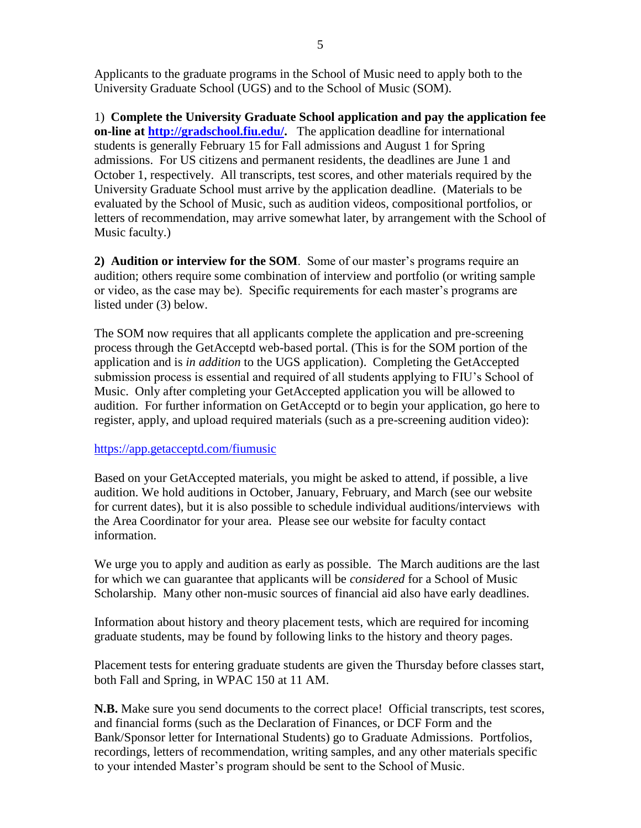Applicants to the graduate programs in the School of Music need to apply both to the University Graduate School (UGS) and to the School of Music (SOM).

1) **Complete the University Graduate School application and pay the application fee on-line at [http://gradschool.fiu.edu/.](http://gradschool.fiu.edu/)** The application deadline for international students is generally February 15 for Fall admissions and August 1 for Spring admissions. For US citizens and permanent residents, the deadlines are June 1 and October 1, respectively. All transcripts, test scores, and other materials required by the University Graduate School must arrive by the application deadline. (Materials to be evaluated by the School of Music, such as audition videos, compositional portfolios, or letters of recommendation, may arrive somewhat later, by arrangement with the School of Music faculty.)

**2) Audition or interview for the SOM**. Some of our master's programs require an audition; others require some combination of interview and portfolio (or writing sample or video, as the case may be). Specific requirements for each master's programs are listed under (3) below.

The SOM now requires that all applicants complete the application and pre-screening process through the GetAcceptd web-based portal. (This is for the SOM portion of the application and is *in addition* to the UGS application). Completing the GetAccepted submission process is essential and required of all students applying to FIU's School of Music. Only after completing your GetAccepted application you will be allowed to audition. For further information on GetAcceptd or to begin your application, go here to register, apply, and upload required materials (such as a pre-screening audition video):

# <https://app.getacceptd.com/fiumusic>

Based on your GetAccepted materials, you might be asked to attend, if possible, a live audition. We hold auditions in October, January, February, and March (see our website for current dates), but it is also possible to schedule individual auditions/interviews with the Area Coordinator for your area. Please see our website for faculty contact information.

We urge you to apply and audition as early as possible. The March auditions are the last for which we can guarantee that applicants will be *considered* for a School of Music Scholarship. Many other non-music sources of financial aid also have early deadlines.

Information about history and theory placement tests, which are required for incoming graduate students, may be found by following links to the history and theory pages.

Placement tests for entering graduate students are given the Thursday before classes start, both Fall and Spring, in WPAC 150 at 11 AM.

**N.B.** Make sure you send documents to the correct place! Official transcripts, test scores, and financial forms (such as the Declaration of Finances, or DCF Form and the Bank/Sponsor letter for International Students) go to Graduate Admissions. Portfolios, recordings, letters of recommendation, writing samples, and any other materials specific to your intended Master's program should be sent to the School of Music.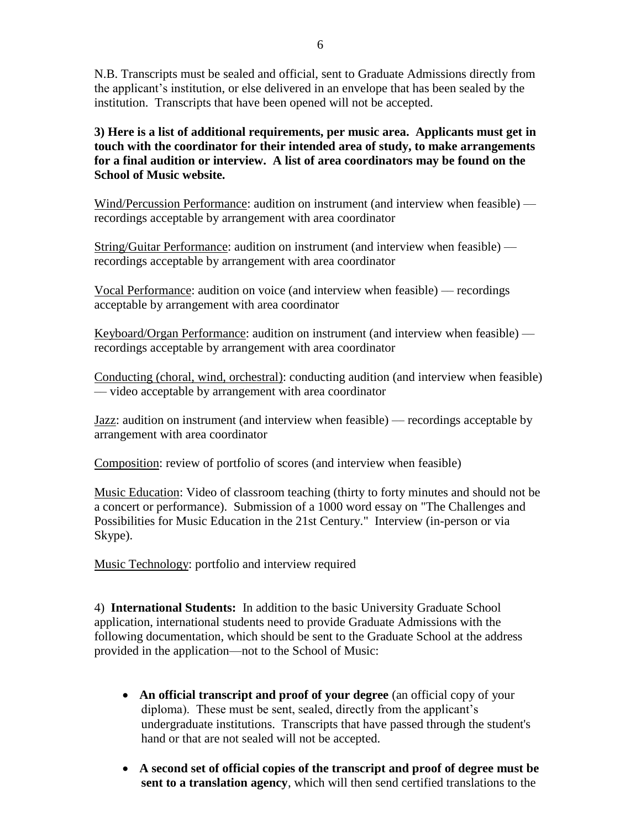N.B. Transcripts must be sealed and official, sent to Graduate Admissions directly from the applicant's institution, or else delivered in an envelope that has been sealed by the institution. Transcripts that have been opened will not be accepted.

**3) Here is a list of additional requirements, per music area. Applicants must get in touch with the coordinator for their intended area of study, to make arrangements for a final audition or interview. A list of area coordinators may be found on the School of Music website.** 

Wind/Percussion Performance: audition on instrument (and interview when feasible) recordings acceptable by arrangement with area coordinator

String/Guitar Performance: audition on instrument (and interview when feasible) –– recordings acceptable by arrangement with area coordinator

Vocal Performance: audition on voice (and interview when feasible) –– recordings acceptable by arrangement with area coordinator

Keyboard/Organ Performance: audition on instrument (and interview when feasible) –– recordings acceptable by arrangement with area coordinator

Conducting (choral, wind, orchestral): conducting audition (and interview when feasible) –– video acceptable by arrangement with area coordinator

Jazz: audition on instrument (and interview when feasible) –– recordings acceptable by arrangement with area coordinator

Composition: review of portfolio of scores (and interview when feasible)

Music Education: Video of classroom teaching (thirty to forty minutes and should not be a concert or performance). Submission of a 1000 word essay on "The Challenges and Possibilities for Music Education in the 21st Century." Interview (in-person or via Skype).

Music Technology: portfolio and interview required

4) **International Students:** In addition to the basic University Graduate School application, international students need to provide Graduate Admissions with the following documentation, which should be sent to the Graduate School at the address provided in the application—not to the School of Music:

- **An official transcript and proof of your degree** (an official copy of your diploma). These must be sent, sealed, directly from the applicant's undergraduate institutions. Transcripts that have passed through the student's hand or that are not sealed will not be accepted.
- **A second set of official copies of the transcript and proof of degree must be sent to a translation agency**, which will then send certified translations to the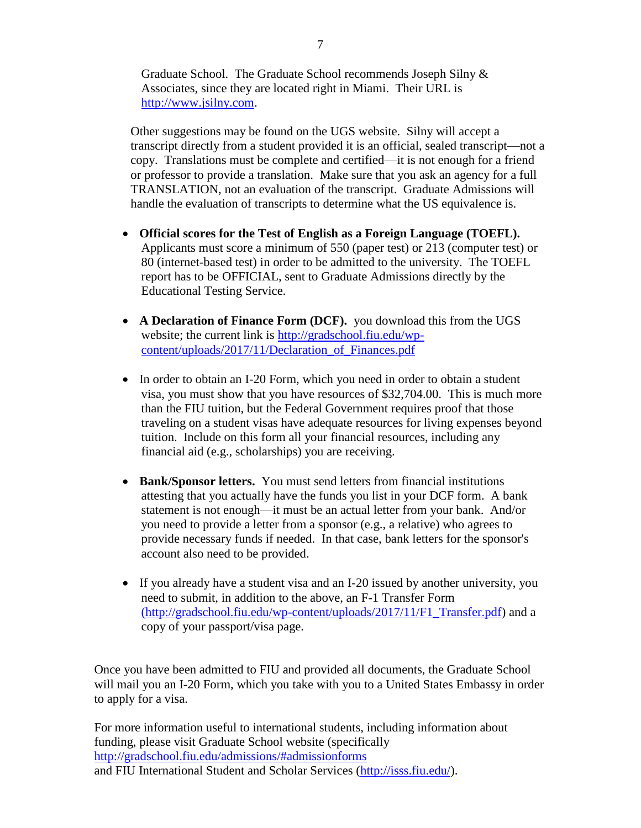Graduate School. The Graduate School recommends Joseph Silny & Associates, since they are located right in Miami. Their URL is [http://www.jsilny.com.](http://www.jsilny.com/)

Other suggestions may be found on the UGS website. Silny will accept a transcript directly from a student provided it is an official, sealed transcript—not a copy. Translations must be complete and certified—it is not enough for a friend or professor to provide a translation. Make sure that you ask an agency for a full TRANSLATION, not an evaluation of the transcript. Graduate Admissions will handle the evaluation of transcripts to determine what the US equivalence is.

- **Official scores for the Test of English as a Foreign Language (TOEFL).** Applicants must score a minimum of 550 (paper test) or 213 (computer test) or 80 (internet-based test) in order to be admitted to the university. The TOEFL report has to be OFFICIAL, sent to Graduate Admissions directly by the Educational Testing Service.
- A Declaration of Finance Form (DCF). you download this from the UGS website; the current link is [http://gradschool.fiu.edu/wp](http://gradschool.fiu.edu/wp-content/uploads/2017/11/Declaration_of_Finances.pdf)[content/uploads/2017/11/Declaration\\_of\\_Finances.pdf](http://gradschool.fiu.edu/wp-content/uploads/2017/11/Declaration_of_Finances.pdf)
- In order to obtain an I-20 Form, which you need in order to obtain a student visa, you must show that you have resources of \$32,704.00. This is much more than the FIU tuition, but the Federal Government requires proof that those traveling on a student visas have adequate resources for living expenses beyond tuition. Include on this form all your financial resources, including any financial aid (e.g., scholarships) you are receiving.
- **Bank/Sponsor letters.** You must send letters from financial institutions attesting that you actually have the funds you list in your DCF form. A bank statement is not enough—it must be an actual letter from your bank. And/or you need to provide a letter from a sponsor (e.g., a relative) who agrees to provide necessary funds if needed. In that case, bank letters for the sponsor's account also need to be provided.
- If you already have a student visa and an I-20 issued by another university, you need to submit, in addition to the above, an F-1 Transfer Form (http://gradschool.fiu.edu/wp-content/uploads/2017/11/F1\_Transfer.pdf) and a copy of your passport/visa page.

Once you have been admitted to FIU and provided all documents, the Graduate School will mail you an I-20 Form, which you take with you to a United States Embassy in order to apply for a visa.

For more information useful to international students, including information about funding, please visit Graduate School website (specifically <http://gradschool.fiu.edu/admissions/#admissionforms> and FIU International Student and Scholar Services [\(http://isss.fiu.edu/\)](http://isss.fiu.edu/).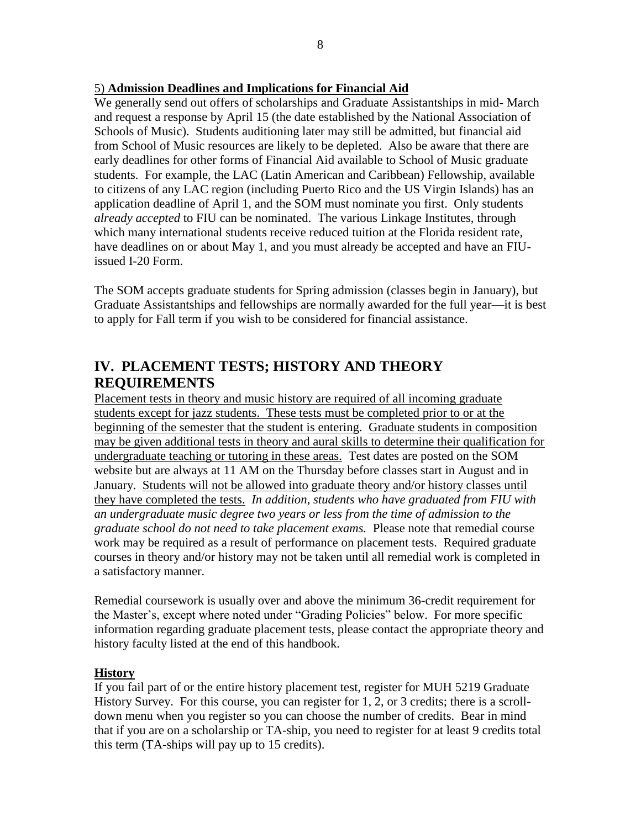# 5) **Admission Deadlines and Implications for Financial Aid**

We generally send out offers of scholarships and Graduate Assistantships in mid- March and request a response by April 15 (the date established by the National Association of Schools of Music). Students auditioning later may still be admitted, but financial aid from School of Music resources are likely to be depleted. Also be aware that there are early deadlines for other forms of Financial Aid available to School of Music graduate students. For example, the LAC (Latin American and Caribbean) Fellowship, available to citizens of any LAC region (including Puerto Rico and the US Virgin Islands) has an application deadline of April 1, and the SOM must nominate you first. Only students *already accepted* to FIU can be nominated. The various Linkage Institutes, through which many international students receive reduced tuition at the Florida resident rate, have deadlines on or about May 1, and you must already be accepted and have an FIUissued I-20 Form.

The SOM accepts graduate students for Spring admission (classes begin in January), but Graduate Assistantships and fellowships are normally awarded for the full year––it is best to apply for Fall term if you wish to be considered for financial assistance.

# **IV. PLACEMENT TESTS; HISTORY AND THEORY REQUIREMENTS**

Placement tests in theory and music history are required of all incoming graduate students except for jazz students. These tests must be completed prior to or at the beginning of the semester that the student is entering. Graduate students in composition may be given additional tests in theory and aural skills to determine their qualification for undergraduate teaching or tutoring in these areas. Test dates are posted on the SOM website but are always at 11 AM on the Thursday before classes start in August and in January. Students will not be allowed into graduate theory and/or history classes until they have completed the tests. *In addition, students who have graduated from FIU with an undergraduate music degree two years or less from the time of admission to the graduate school do not need to take placement exams.* Please note that remedial course work may be required as a result of performance on placement tests. Required graduate courses in theory and/or history may not be taken until all remedial work is completed in a satisfactory manner.

Remedial coursework is usually over and above the minimum 36-credit requirement for the Master's, except where noted under "Grading Policies" below. For more specific information regarding graduate placement tests, please contact the appropriate theory and history faculty listed at the end of this handbook.

## **History**

If you fail part of or the entire history placement test, register for MUH 5219 Graduate History Survey. For this course, you can register for 1, 2, or 3 credits; there is a scrolldown menu when you register so you can choose the number of credits. Bear in mind that if you are on a scholarship or TA-ship, you need to register for at least 9 credits total this term (TA-ships will pay up to 15 credits).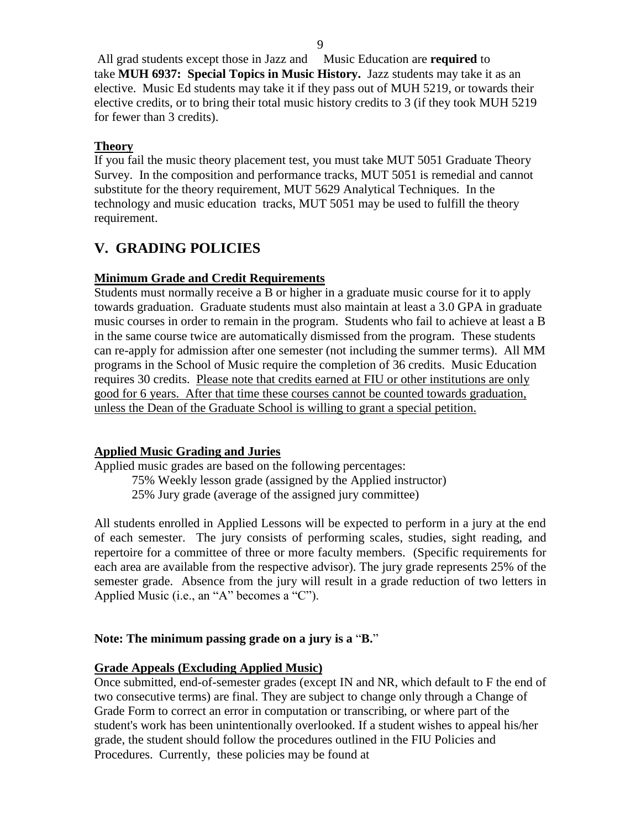All grad students except those in Jazz and Music Education are **required** to take **MUH 6937: Special Topics in Music History.** Jazz students may take it as an elective. Music Ed students may take it if they pass out of MUH 5219, or towards their elective credits, or to bring their total music history credits to 3 (if they took MUH 5219 for fewer than 3 credits).

# **Theory**

If you fail the music theory placement test, you must take MUT 5051 Graduate Theory Survey. In the composition and performance tracks, MUT 5051 is remedial and cannot substitute for the theory requirement, MUT 5629 Analytical Techniques. In the technology and music education tracks, MUT 5051 may be used to fulfill the theory requirement.

# **V. GRADING POLICIES**

# **Minimum Grade and Credit Requirements**

Students must normally receive a B or higher in a graduate music course for it to apply towards graduation. Graduate students must also maintain at least a 3.0 GPA in graduate music courses in order to remain in the program. Students who fail to achieve at least a B in the same course twice are automatically dismissed from the program. These students can re-apply for admission after one semester (not including the summer terms). All MM programs in the School of Music require the completion of 36 credits. Music Education requires 30 credits. Please note that credits earned at FIU or other institutions are only good for 6 years. After that time these courses cannot be counted towards graduation, unless the Dean of the Graduate School is willing to grant a special petition.

# **Applied Music Grading and Juries**

Applied music grades are based on the following percentages:

75% Weekly lesson grade (assigned by the Applied instructor) 25% Jury grade (average of the assigned jury committee)

All students enrolled in Applied Lessons will be expected to perform in a jury at the end of each semester. The jury consists of performing scales, studies, sight reading, and repertoire for a committee of three or more faculty members. (Specific requirements for each area are available from the respective advisor). The jury grade represents 25% of the semester grade. Absence from the jury will result in a grade reduction of two letters in Applied Music (i.e., an "A" becomes a "C").

# **Note: The minimum passing grade on a jury is a** "**B.**"

# **Grade Appeals (Excluding Applied Music)**

Once submitted, end-of-semester grades (except IN and NR, which default to F the end of two consecutive terms) are final. They are subject to change only through a Change of Grade Form to correct an error in computation or transcribing, or where part of the student's work has been unintentionally overlooked. If a student wishes to appeal his/her grade, the student should follow the procedures outlined in the FIU Policies and Procedures. Currently, these policies may be found at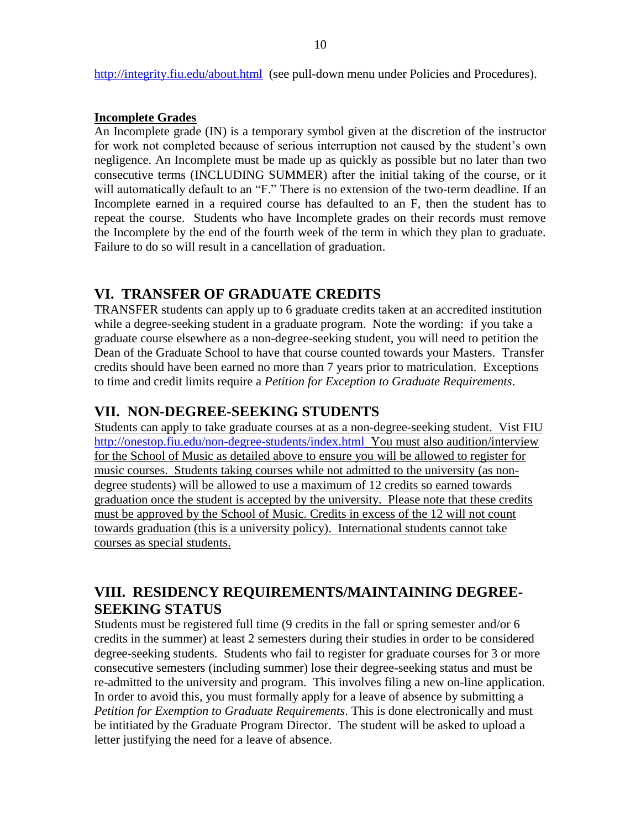<http://integrity.fiu.edu/about.html>(see pull-down menu under Policies and Procedures).

#### **Incomplete Grades**

An Incomplete grade (IN) is a temporary symbol given at the discretion of the instructor for work not completed because of serious interruption not caused by the student's own negligence. An Incomplete must be made up as quickly as possible but no later than two consecutive terms (INCLUDING SUMMER) after the initial taking of the course, or it will automatically default to an "F." There is no extension of the two-term deadline. If an Incomplete earned in a required course has defaulted to an F, then the student has to repeat the course. Students who have Incomplete grades on their records must remove the Incomplete by the end of the fourth week of the term in which they plan to graduate. Failure to do so will result in a cancellation of graduation.

# **VI. TRANSFER OF GRADUATE CREDITS**

TRANSFER students can apply up to 6 graduate credits taken at an accredited institution while a degree-seeking student in a graduate program. Note the wording: if you take a graduate course elsewhere as a non-degree-seeking student, you will need to petition the Dean of the Graduate School to have that course counted towards your Masters. Transfer credits should have been earned no more than 7 years prior to matriculation. Exceptions to time and credit limits require a *Petition for Exception to Graduate Requirements*.

# **VII. NON-DEGREE-SEEKING STUDENTS**

Students can apply to take graduate courses at as a non-degree-seeking student. Vist FIU <http://onestop.fiu.edu/non-degree-students/index.html> You must also audition/interview for the School of Music as detailed above to ensure you will be allowed to register for music courses. Students taking courses while not admitted to the university (as nondegree students) will be allowed to use a maximum of 12 credits so earned towards graduation once the student is accepted by the university. Please note that these credits must be approved by the School of Music. Credits in excess of the 12 will not count towards graduation (this is a university policy). International students cannot take courses as special students.

# **VIII. RESIDENCY REQUIREMENTS/MAINTAINING DEGREE-SEEKING STATUS**

Students must be registered full time (9 credits in the fall or spring semester and/or 6 credits in the summer) at least 2 semesters during their studies in order to be considered degree-seeking students. Students who fail to register for graduate courses for 3 or more consecutive semesters (including summer) lose their degree-seeking status and must be re-admitted to the university and program. This involves filing a new on-line application. In order to avoid this, you must formally apply for a leave of absence by submitting a *Petition for Exemption to Graduate Requirements*. This is done electronically and must be intitiated by the Graduate Program Director. The student will be asked to upload a letter justifying the need for a leave of absence.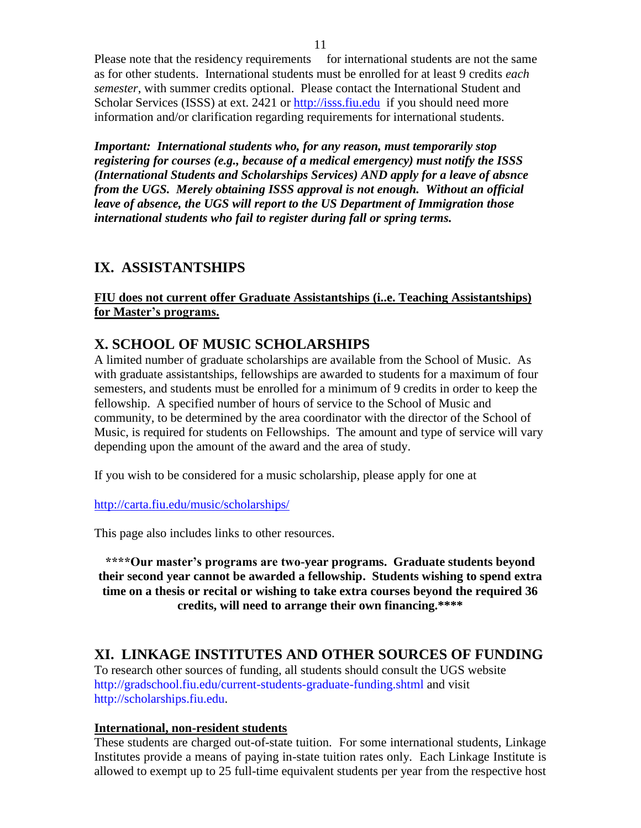Please note that the residency requirements for international students are not the same as for other students. International students must be enrolled for at least 9 credits *each semester*, with summer credits optional. Please contact the International Student and Scholar Services (ISSS) at ext. 2421 or [http://isss.fiu.edu](http://isss.fiu.edu/) if you should need more information and/or clarification regarding requirements for international students.

*Important: International students who, for any reason, must temporarily stop registering for courses (e.g., because of a medical emergency) must notify the ISSS (International Students and Scholarships Services) AND apply for a leave of absnce from the UGS. Merely obtaining ISSS approval is not enough. Without an official leave of absence, the UGS will report to the US Department of Immigration those international students who fail to register during fall or spring terms.*

# **IX. ASSISTANTSHIPS**

**FIU does not current offer Graduate Assistantships (i..e. Teaching Assistantships) for Master's programs.** 

# **X. SCHOOL OF MUSIC SCHOLARSHIPS**

A limited number of graduate scholarships are available from the School of Music. As with graduate assistantships, fellowships are awarded to students for a maximum of four semesters, and students must be enrolled for a minimum of 9 credits in order to keep the fellowship. A specified number of hours of service to the School of Music and community, to be determined by the area coordinator with the director of the School of Music, is required for students on Fellowships. The amount and type of service will vary depending upon the amount of the award and the area of study.

If you wish to be considered for a music scholarship, please apply for one at

<http://carta.fiu.edu/music/scholarships/>

This page also includes links to other resources.

**\*\*\*\*Our master's programs are two-year programs. Graduate students beyond their second year cannot be awarded a fellowship. Students wishing to spend extra time on a thesis or recital or wishing to take extra courses beyond the required 36 credits, will need to arrange their own financing.\*\*\*\***

# **XI. LINKAGE INSTITUTES AND OTHER SOURCES OF FUNDING**

To research other sources of funding, all students should consult the UGS website <http://gradschool.fiu.edu/current-students-graduate-funding.shtml> and visit [http://scholarships.fiu.edu.](http://scholarships.fiu.edu/)

# **International, non-resident students**

These students are charged out-of-state tuition. For some international students, Linkage Institutes provide a means of paying in-state tuition rates only. Each Linkage Institute is allowed to exempt up to 25 full-time equivalent students per year from the respective host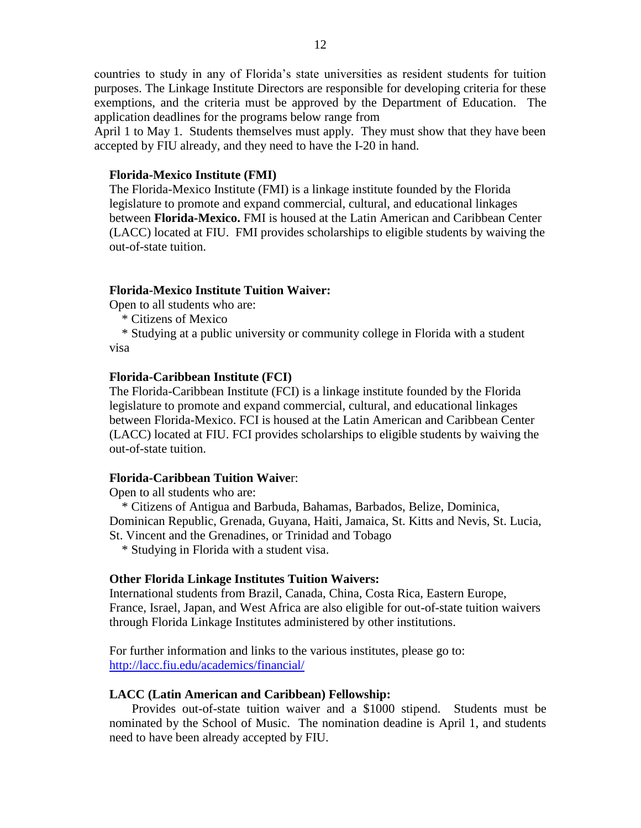countries to study in any of Florida's state universities as resident students for tuition purposes. The Linkage Institute Directors are responsible for developing criteria for these exemptions, and the criteria must be approved by the Department of Education. The application deadlines for the programs below range from

April 1 to May 1. Students themselves must apply. They must show that they have been accepted by FIU already, and they need to have the I-20 in hand.

#### **Florida-Mexico Institute (FMI)**

The Florida-Mexico Institute (FMI) is a linkage institute founded by the Florida legislature to promote and expand commercial, cultural, and educational linkages between **Florida-Mexico.** FMI is housed at the Latin American and Caribbean Center (LACC) located at FIU. FMI provides scholarships to eligible students by waiving the out-of-state tuition.

#### **Florida-Mexico Institute Tuition Waiver:**

Open to all students who are:

\* Citizens of Mexico

 \* Studying at a public university or community college in Florida with a student visa

#### **Florida-Caribbean Institute (FCI)**

The Florida-Caribbean Institute (FCI) is a linkage institute founded by the Florida legislature to promote and expand commercial, cultural, and educational linkages between Florida-Mexico. FCI is housed at the Latin American and Caribbean Center (LACC) located at FIU. FCI provides scholarships to eligible students by waiving the out-of-state tuition.

#### **Florida-Caribbean Tuition Waive**r:

Open to all students who are:

 \* Citizens of Antigua and Barbuda, Bahamas, Barbados, Belize, Dominica, Dominican Republic, Grenada, Guyana, Haiti, Jamaica, St. Kitts and Nevis, St. Lucia, St. Vincent and the Grenadines, or Trinidad and Tobago

\* Studying in Florida with a student visa.

#### **Other Florida Linkage Institutes Tuition Waivers:**

International students from Brazil, Canada, China, Costa Rica, Eastern Europe, France, Israel, Japan, and West Africa are also eligible for out-of-state tuition waivers through Florida Linkage Institutes administered by other institutions.

For further information and links to the various institutes, please go to: <http://lacc.fiu.edu/academics/financial/>

#### **LACC (Latin American and Caribbean) Fellowship:**

Provides out-of-state tuition waiver and a \$1000 stipend. Students must be nominated by the School of Music. The nomination deadine is April 1, and students need to have been already accepted by FIU.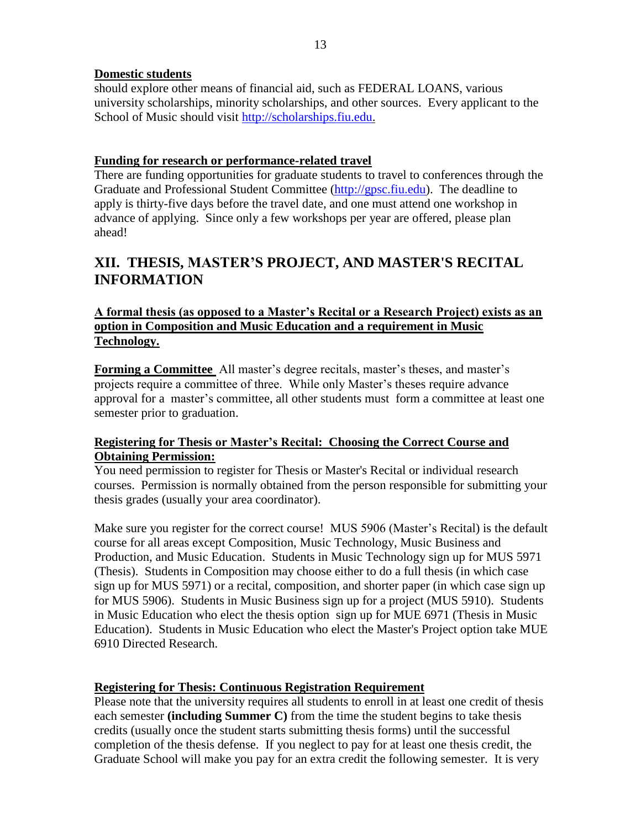## **Domestic students**

should explore other means of financial aid, such as FEDERAL LOANS, various university scholarships, minority scholarships, and other sources. Every applicant to the School of Music should visit [http://scholarships.fiu.edu.](http://scholarships.fiu.edu/)

## **Funding for research or performance-related travel**

There are funding opportunities for graduate students to travel to conferences through the Graduate and Professional Student Committee [\(http://gpsc.fiu.edu\)](http://gpsc.fiu.edu/). The deadline to apply is thirty-five days before the travel date, and one must attend one workshop in advance of applying. Since only a few workshops per year are offered, please plan ahead!

# **XII. THESIS, MASTER'S PROJECT, AND MASTER'S RECITAL INFORMATION**

# **A formal thesis (as opposed to a Master's Recital or a Research Project) exists as an option in Composition and Music Education and a requirement in Music Technology.**

**Forming a Committee** All master's degree recitals, master's theses, and master's projects require a committee of three. While only Master's theses require advance approval for a master's committee, all other students must form a committee at least one semester prior to graduation.

# **Registering for Thesis or Master's Recital: Choosing the Correct Course and Obtaining Permission:**

You need permission to register for Thesis or Master's Recital or individual research courses. Permission is normally obtained from the person responsible for submitting your thesis grades (usually your area coordinator).

Make sure you register for the correct course! MUS 5906 (Master's Recital) is the default course for all areas except Composition, Music Technology, Music Business and Production, and Music Education. Students in Music Technology sign up for MUS 5971 (Thesis). Students in Composition may choose either to do a full thesis (in which case sign up for MUS 5971) or a recital, composition, and shorter paper (in which case sign up for MUS 5906). Students in Music Business sign up for a project (MUS 5910). Students in Music Education who elect the thesis option sign up for MUE 6971 (Thesis in Music Education). Students in Music Education who elect the Master's Project option take MUE 6910 Directed Research.

# **Registering for Thesis: Continuous Registration Requirement**

Please note that the university requires all students to enroll in at least one credit of thesis each semester **(including Summer C)** from the time the student begins to take thesis credits (usually once the student starts submitting thesis forms) until the successful completion of the thesis defense. If you neglect to pay for at least one thesis credit, the Graduate School will make you pay for an extra credit the following semester. It is very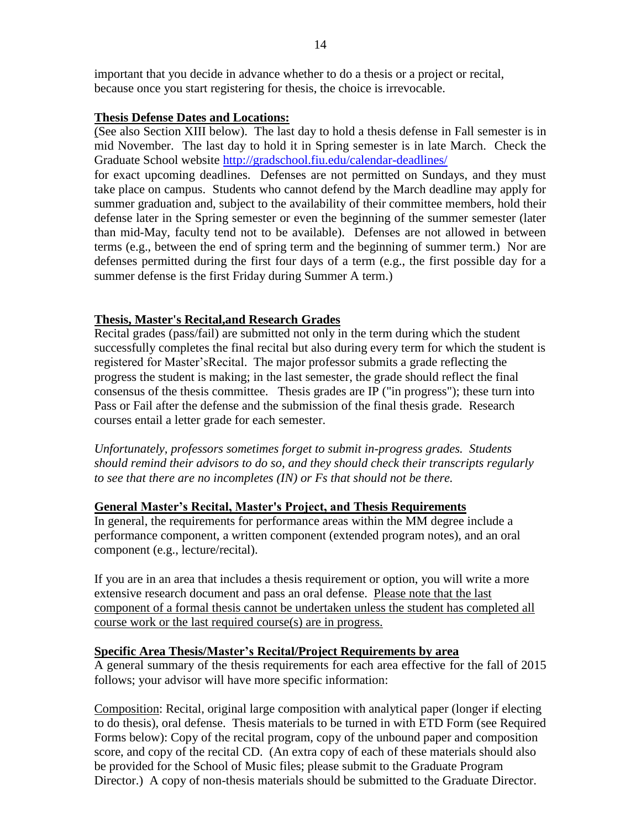important that you decide in advance whether to do a thesis or a project or recital, because once you start registering for thesis, the choice is irrevocable.

## **Thesis Defense Dates and Locations:**

(See also Section XIII below). The last day to hold a thesis defense in Fall semester is in mid November. The last day to hold it in Spring semester is in late March. Check the Graduate School website<http://gradschool.fiu.edu/calendar-deadlines/>

for exact upcoming deadlines. Defenses are not permitted on Sundays, and they must take place on campus. Students who cannot defend by the March deadline may apply for summer graduation and, subject to the availability of their committee members, hold their defense later in the Spring semester or even the beginning of the summer semester (later than mid-May, faculty tend not to be available). Defenses are not allowed in between terms (e.g., between the end of spring term and the beginning of summer term.) Nor are defenses permitted during the first four days of a term (e.g., the first possible day for a summer defense is the first Friday during Summer A term.)

# **Thesis, Master's Recital,and Research Grades**

Recital grades (pass/fail) are submitted not only in the term during which the student successfully completes the final recital but also during every term for which the student is registered for Master'sRecital. The major professor submits a grade reflecting the progress the student is making; in the last semester, the grade should reflect the final consensus of the thesis committee. Thesis grades are IP ("in progress"); these turn into Pass or Fail after the defense and the submission of the final thesis grade. Research courses entail a letter grade for each semester.

*Unfortunately, professors sometimes forget to submit in-progress grades. Students should remind their advisors to do so, and they should check their transcripts regularly to see that there are no incompletes (IN) or Fs that should not be there.* 

## **General Master's Recital, Master's Project, and Thesis Requirements**

In general, the requirements for performance areas within the MM degree include a performance component, a written component (extended program notes), and an oral component (e.g., lecture/recital).

If you are in an area that includes a thesis requirement or option, you will write a more extensive research document and pass an oral defense. Please note that the last component of a formal thesis cannot be undertaken unless the student has completed all course work or the last required course(s) are in progress.

## **Specific Area Thesis/Master's Recital/Project Requirements by area**

A general summary of the thesis requirements for each area effective for the fall of 2015 follows; your advisor will have more specific information:

Composition: Recital, original large composition with analytical paper (longer if electing to do thesis), oral defense. Thesis materials to be turned in with ETD Form (see Required Forms below): Copy of the recital program, copy of the unbound paper and composition score, and copy of the recital CD. (An extra copy of each of these materials should also be provided for the School of Music files; please submit to the Graduate Program Director.) A copy of non-thesis materials should be submitted to the Graduate Director.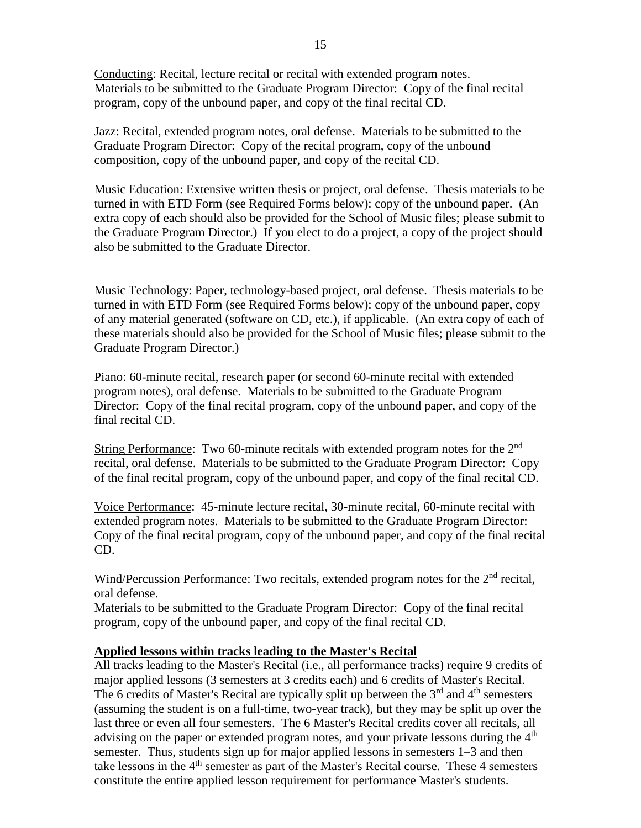Conducting: Recital, lecture recital or recital with extended program notes. Materials to be submitted to the Graduate Program Director: Copy of the final recital program, copy of the unbound paper, and copy of the final recital CD.

Jazz: Recital, extended program notes, oral defense. Materials to be submitted to the Graduate Program Director: Copy of the recital program, copy of the unbound composition, copy of the unbound paper, and copy of the recital CD.

Music Education: Extensive written thesis or project, oral defense. Thesis materials to be turned in with ETD Form (see Required Forms below): copy of the unbound paper. (An extra copy of each should also be provided for the School of Music files; please submit to the Graduate Program Director.) If you elect to do a project, a copy of the project should also be submitted to the Graduate Director.

Music Technology: Paper, technology-based project, oral defense. Thesis materials to be turned in with ETD Form (see Required Forms below): copy of the unbound paper, copy of any material generated (software on CD, etc.), if applicable. (An extra copy of each of these materials should also be provided for the School of Music files; please submit to the Graduate Program Director.)

Piano: 60-minute recital, research paper (or second 60-minute recital with extended program notes), oral defense. Materials to be submitted to the Graduate Program Director: Copy of the final recital program, copy of the unbound paper, and copy of the final recital CD.

String Performance: Two 60-minute recitals with extended program notes for the  $2<sup>nd</sup>$ recital, oral defense. Materials to be submitted to the Graduate Program Director: Copy of the final recital program, copy of the unbound paper, and copy of the final recital CD.

Voice Performance: 45-minute lecture recital, 30-minute recital, 60-minute recital with extended program notes. Materials to be submitted to the Graduate Program Director: Copy of the final recital program, copy of the unbound paper, and copy of the final recital CD.

Wind/Percussion Performance: Two recitals, extended program notes for the  $2<sup>nd</sup>$  recital, oral defense.

Materials to be submitted to the Graduate Program Director: Copy of the final recital program, copy of the unbound paper, and copy of the final recital CD.

## **Applied lessons within tracks leading to the Master's Recital**

All tracks leading to the Master's Recital (i.e., all performance tracks) require 9 credits of major applied lessons (3 semesters at 3 credits each) and 6 credits of Master's Recital. The 6 credits of Master's Recital are typically split up between the  $3<sup>rd</sup>$  and  $4<sup>th</sup>$  semesters (assuming the student is on a full-time, two-year track), but they may be split up over the last three or even all four semesters. The 6 Master's Recital credits cover all recitals, all advising on the paper or extended program notes, and your private lessons during the  $4<sup>th</sup>$ semester. Thus, students sign up for major applied lessons in semesters 1–3 and then take lessons in the  $4<sup>th</sup>$  semester as part of the Master's Recital course. These 4 semesters constitute the entire applied lesson requirement for performance Master's students.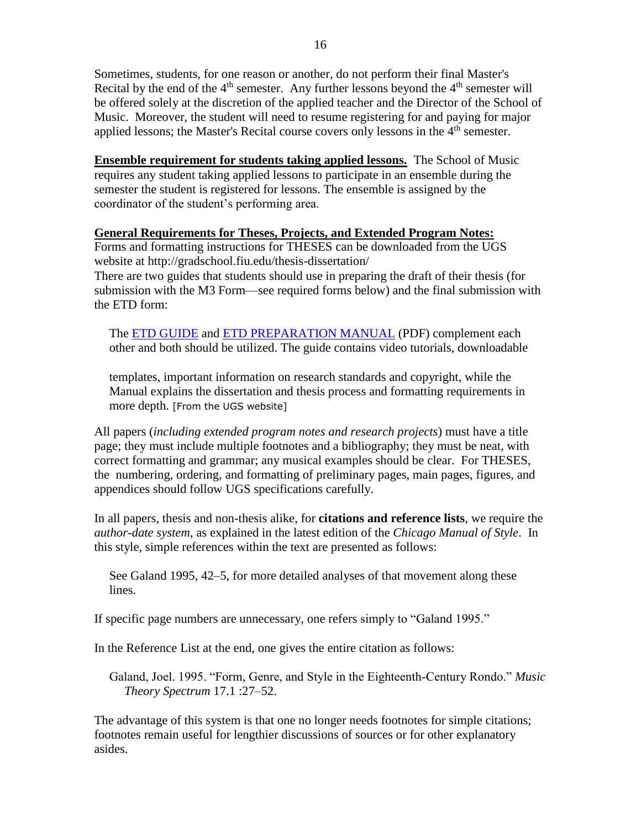Sometimes, students, for one reason or another, do not perform their final Master's Recital by the end of the  $4<sup>th</sup>$  semester. Any further lessons beyond the  $4<sup>th</sup>$  semester will be offered solely at the discretion of the applied teacher and the Director of the School of Music. Moreover, the student will need to resume registering for and paying for major applied lessons; the Master's Recital course covers only lessons in the  $4<sup>th</sup>$  semester.

**Ensemble requirement for students taking applied lessons.** The School of Music requires any student taking applied lessons to participate in an ensemble during the semester the student is registered for lessons. The ensemble is assigned by the coordinator of the student's performing area.

## **General Requirements for Theses, Projects, and Extended Program Notes:**

Forms and formatting instructions for THESES can be downloaded from the UGS website at http://gradschool.fiu.edu/thesis-dissertation/ There are two guides that students should use in preparing the draft of their thesis (for submission with the M3 Form—see required forms below) and the final submission with the ETD form:

The [ETD GUIDE](http://libguides.fiu.edu/etd) and [ETD PREPARATION MANUAL](http://gradschool.fiu.edu/documents/Manual_Regulations.pdf) (PDF) complement each other and both should be utilized. The guide contains video tutorials, downloadable

templates, important information on research standards and copyright, while the Manual explains the dissertation and thesis process and formatting requirements in more depth. [From the UGS website]

All papers (*including extended program notes and research projects*) must have a title page; they must include multiple footnotes and a bibliography; they must be neat, with correct formatting and grammar; any musical examples should be clear. For THESES, the numbering, ordering, and formatting of preliminary pages, main pages, figures, and appendices should follow UGS specifications carefully.

In all papers, thesis and non-thesis alike, for **citations and reference lists**, we require the *author-date system*, as explained in the latest edition of the *Chicago Manual of Style*. In this style, simple references within the text are presented as follows:

See Galand 1995, 42–5, for more detailed analyses of that movement along these lines.

If specific page numbers are unnecessary, one refers simply to "Galand 1995."

In the Reference List at the end, one gives the entire citation as follows:

Galand, Joel. 1995. "Form, Genre, and Style in the Eighteenth-Century Rondo." *Music Theory Spectrum* 17.1 :27–52.

The advantage of this system is that one no longer needs footnotes for simple citations; footnotes remain useful for lengthier discussions of sources or for other explanatory asides.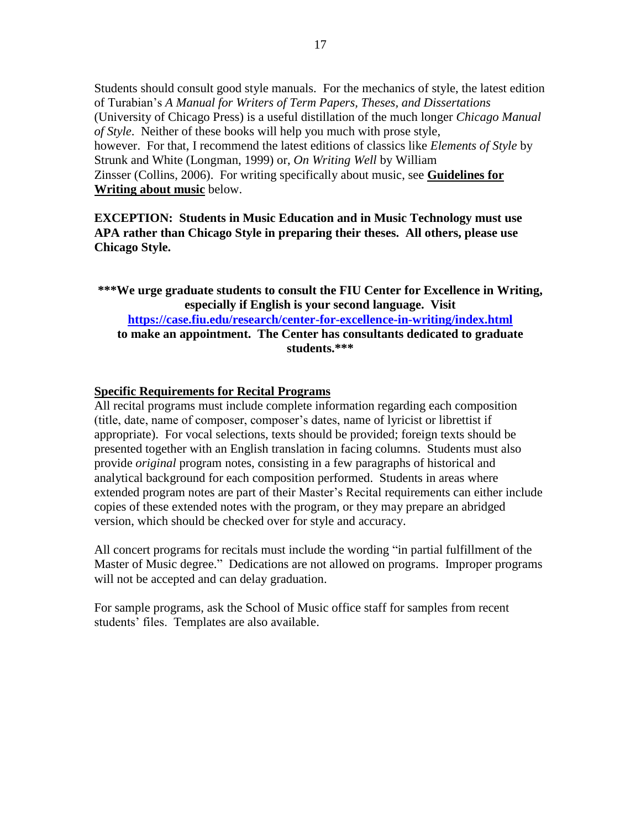Students should consult good style manuals. For the mechanics of style, the latest edition of Turabian's *A Manual for Writers of Term Papers, Theses, and Dissertations* (University of Chicago Press) is a useful distillation of the much longer *Chicago Manual of Style*. Neither of these books will help you much with prose style, however. For that, I recommend the latest editions of classics like *Elements of Style* by Strunk and White (Longman, 1999) or, *On Writing Well* by William Zinsser (Collins, 2006). For writing specifically about music, see **Guidelines for Writing about music** below.

**EXCEPTION: Students in Music Education and in Music Technology must use APA rather than Chicago Style in preparing their theses. All others, please use Chicago Style.**

**\*\*\*We urge graduate students to consult the FIU Center for Excellence in Writing, especially if English is your second language. Visit <https://case.fiu.edu/research/center-for-excellence-in-writing/index.html> to make an appointment. The Center has consultants dedicated to graduate students.\*\*\***

#### **Specific Requirements for Recital Programs**

All recital programs must include complete information regarding each composition (title, date, name of composer, composer's dates, name of lyricist or librettist if appropriate). For vocal selections, texts should be provided; foreign texts should be presented together with an English translation in facing columns. Students must also provide *original* program notes, consisting in a few paragraphs of historical and analytical background for each composition performed. Students in areas where extended program notes are part of their Master's Recital requirements can either include copies of these extended notes with the program, or they may prepare an abridged version, which should be checked over for style and accuracy.

All concert programs for recitals must include the wording "in partial fulfillment of the Master of Music degree." Dedications are not allowed on programs. Improper programs will not be accepted and can delay graduation.

For sample programs, ask the School of Music office staff for samples from recent students' files. Templates are also available.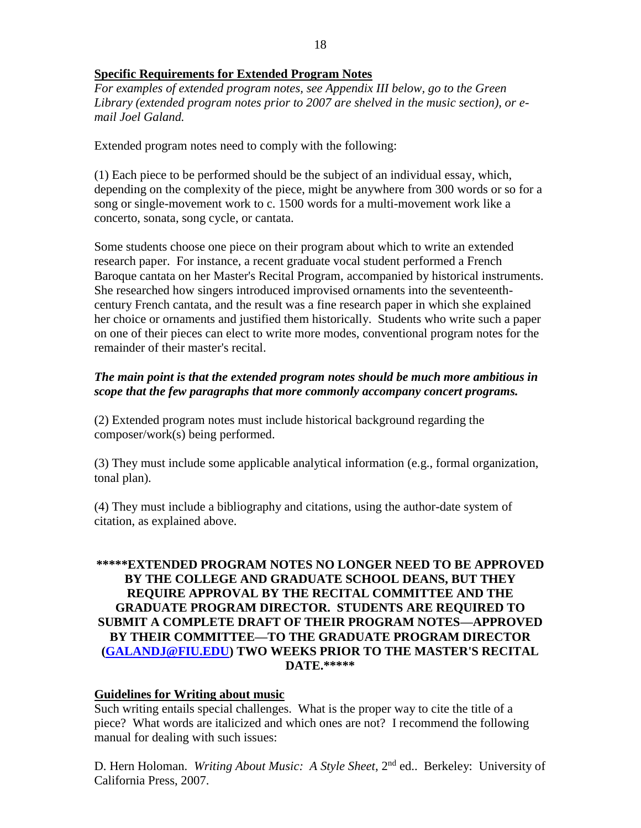## **Specific Requirements for Extended Program Notes**

*For examples of extended program notes, see Appendix III below, go to the Green Library (extended program notes prior to 2007 are shelved in the music section), or email Joel Galand.*

Extended program notes need to comply with the following:

(1) Each piece to be performed should be the subject of an individual essay, which, depending on the complexity of the piece, might be anywhere from 300 words or so for a song or single-movement work to c. 1500 words for a multi-movement work like a concerto, sonata, song cycle, or cantata.

Some students choose one piece on their program about which to write an extended research paper. For instance, a recent graduate vocal student performed a French Baroque cantata on her Master's Recital Program, accompanied by historical instruments. She researched how singers introduced improvised ornaments into the seventeenthcentury French cantata, and the result was a fine research paper in which she explained her choice or ornaments and justified them historically. Students who write such a paper on one of their pieces can elect to write more modes, conventional program notes for the remainder of their master's recital.

# *The main point is that the extended program notes should be much more ambitious in scope that the few paragraphs that more commonly accompany concert programs.*

(2) Extended program notes must include historical background regarding the composer/work(s) being performed.

(3) They must include some applicable analytical information (e.g., formal organization, tonal plan).

(4) They must include a bibliography and citations, using the author-date system of citation, as explained above.

# **\*\*\*\*\*EXTENDED PROGRAM NOTES NO LONGER NEED TO BE APPROVED BY THE COLLEGE AND GRADUATE SCHOOL DEANS, BUT THEY REQUIRE APPROVAL BY THE RECITAL COMMITTEE AND THE GRADUATE PROGRAM DIRECTOR. STUDENTS ARE REQUIRED TO SUBMIT A COMPLETE DRAFT OF THEIR PROGRAM NOTES—APPROVED BY THEIR COMMITTEE—TO THE GRADUATE PROGRAM DIRECTOR [\(GALANDJ@FIU.EDU\)](mailto:GALANDJ@FIU.EDU) TWO WEEKS PRIOR TO THE MASTER'S RECITAL DATE.\*\*\*\*\***

## **Guidelines for Writing about music**

Such writing entails special challenges. What is the proper way to cite the title of a piece? What words are italicized and which ones are not? I recommend the following manual for dealing with such issues:

D. Hern Holoman. *Writing About Music: A Style Sheet*, 2nd ed.. Berkeley: University of California Press, 2007.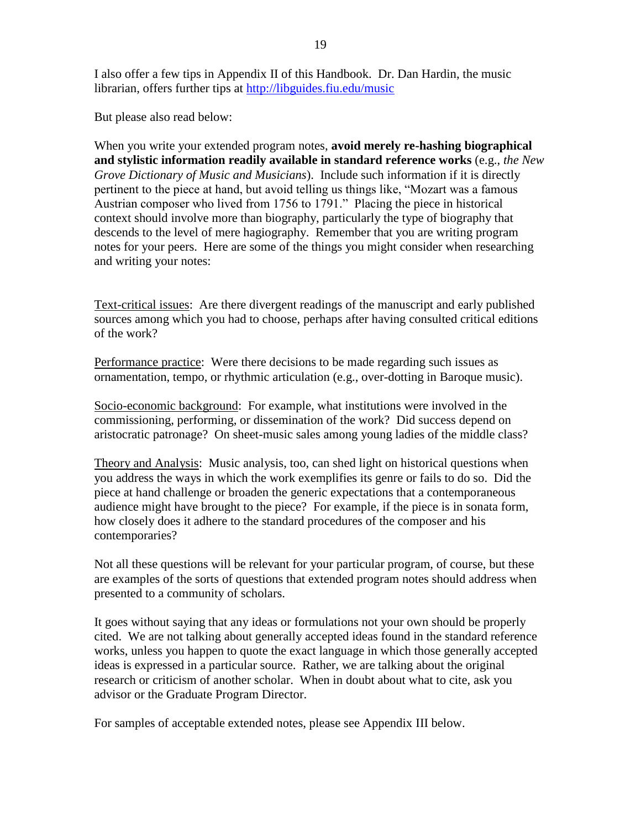I also offer a few tips in Appendix II of this Handbook. Dr. Dan Hardin, the music librarian, offers further tips at<http://libguides.fiu.edu/music>

But please also read below:

When you write your extended program notes, **avoid merely re-hashing biographical and stylistic information readily available in standard reference works** (e.g., *the New Grove Dictionary of Music and Musicians*). Include such information if it is directly pertinent to the piece at hand, but avoid telling us things like, "Mozart was a famous Austrian composer who lived from 1756 to 1791." Placing the piece in historical context should involve more than biography, particularly the type of biography that descends to the level of mere hagiography. Remember that you are writing program notes for your peers. Here are some of the things you might consider when researching and writing your notes:

Text-critical issues: Are there divergent readings of the manuscript and early published sources among which you had to choose, perhaps after having consulted critical editions of the work?

Performance practice: Were there decisions to be made regarding such issues as ornamentation, tempo, or rhythmic articulation (e.g., over-dotting in Baroque music).

Socio-economic background: For example, what institutions were involved in the commissioning, performing, or dissemination of the work? Did success depend on aristocratic patronage? On sheet-music sales among young ladies of the middle class?

Theory and Analysis: Music analysis, too, can shed light on historical questions when you address the ways in which the work exemplifies its genre or fails to do so. Did the piece at hand challenge or broaden the generic expectations that a contemporaneous audience might have brought to the piece? For example, if the piece is in sonata form, how closely does it adhere to the standard procedures of the composer and his contemporaries?

Not all these questions will be relevant for your particular program, of course, but these are examples of the sorts of questions that extended program notes should address when presented to a community of scholars.

It goes without saying that any ideas or formulations not your own should be properly cited. We are not talking about generally accepted ideas found in the standard reference works, unless you happen to quote the exact language in which those generally accepted ideas is expressed in a particular source. Rather, we are talking about the original research or criticism of another scholar. When in doubt about what to cite, ask you advisor or the Graduate Program Director.

For samples of acceptable extended notes, please see Appendix III below.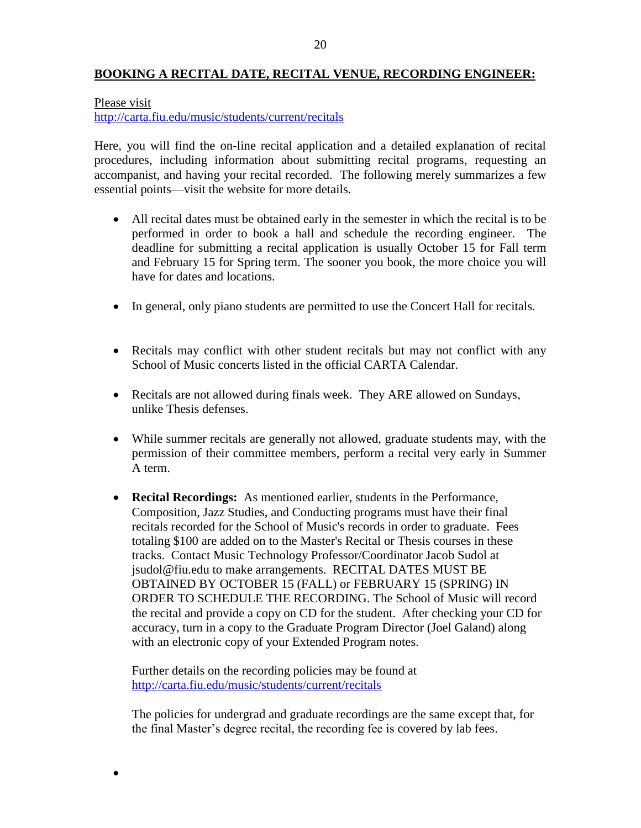# **BOOKING A RECITAL DATE, RECITAL VENUE, RECORDING ENGINEER:**

#### Please visit

 $\bullet$ 

<http://carta.fiu.edu/music/students/current/recitals>

Here, you will find the on-line recital application and a detailed explanation of recital procedures, including information about submitting recital programs, requesting an accompanist, and having your recital recorded. The following merely summarizes a few essential points—visit the website for more details.

- All recital dates must be obtained early in the semester in which the recital is to be performed in order to book a hall and schedule the recording engineer. The deadline for submitting a recital application is usually October 15 for Fall term and February 15 for Spring term. The sooner you book, the more choice you will have for dates and locations.
- In general, only piano students are permitted to use the Concert Hall for recitals.
- Recitals may conflict with other student recitals but may not conflict with any School of Music concerts listed in the official CARTA Calendar.
- Recitals are not allowed during finals week. They ARE allowed on Sundays, unlike Thesis defenses.
- While summer recitals are generally not allowed, graduate students may, with the permission of their committee members, perform a recital very early in Summer A term.
- **Recital Recordings:** As mentioned earlier, students in the Performance, Composition, Jazz Studies, and Conducting programs must have their final recitals recorded for the School of Music's records in order to graduate. Fees totaling \$100 are added on to the Master's Recital or Thesis courses in these tracks. Contact Music Technology Professor/Coordinator Jacob Sudol at jsudol@fiu.edu to make arrangements. RECITAL DATES MUST BE OBTAINED BY OCTOBER 15 (FALL) or FEBRUARY 15 (SPRING) IN ORDER TO SCHEDULE THE RECORDING. The School of Music will record the recital and provide a copy on CD for the student. After checking your CD for accuracy, turn in a copy to the Graduate Program Director (Joel Galand) along with an electronic copy of your Extended Program notes.

Further details on the recording policies may be found at <http://carta.fiu.edu/music/students/current/recitals>

The policies for undergrad and graduate recordings are the same except that, for the final Master's degree recital, the recording fee is covered by lab fees.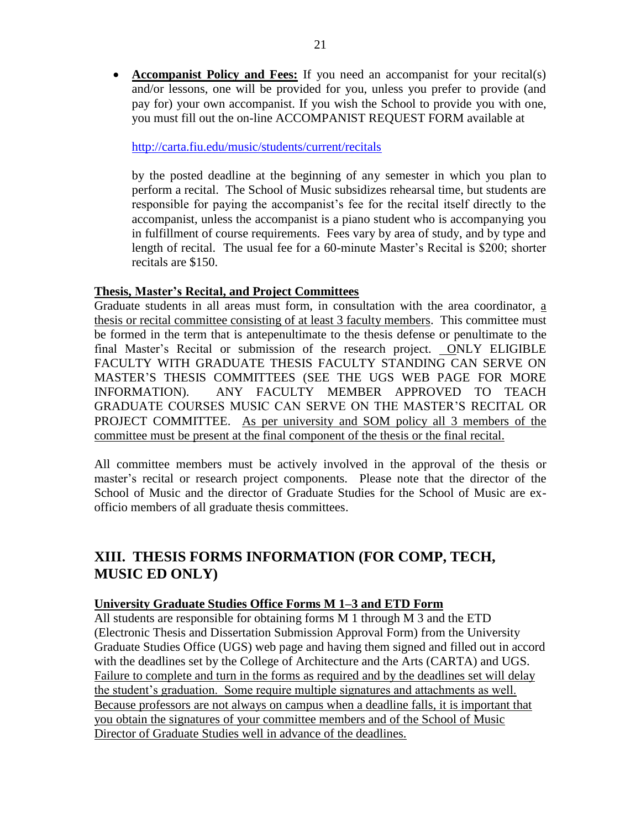**Accompanist Policy and Fees:** If you need an accompanist for your recital(s) and/or lessons, one will be provided for you, unless you prefer to provide (and pay for) your own accompanist. If you wish the School to provide you with one, you must fill out the on-line ACCOMPANIST REQUEST FORM available at

## <http://carta.fiu.edu/music/students/current/recitals>

by the posted deadline at the beginning of any semester in which you plan to perform a recital. The School of Music subsidizes rehearsal time, but students are responsible for paying the accompanist's fee for the recital itself directly to the accompanist, unless the accompanist is a piano student who is accompanying you in fulfillment of course requirements. Fees vary by area of study, and by type and length of recital. The usual fee for a 60-minute Master's Recital is \$200; shorter recitals are \$150.

## **Thesis, Master's Recital, and Project Committees**

Graduate students in all areas must form, in consultation with the area coordinator, a thesis or recital committee consisting of at least 3 faculty members. This committee must be formed in the term that is antepenultimate to the thesis defense or penultimate to the final Master's Recital or submission of the research project. ONLY ELIGIBLE FACULTY WITH GRADUATE THESIS FACULTY STANDING CAN SERVE ON MASTER'S THESIS COMMITTEES (SEE THE UGS WEB PAGE FOR MORE INFORMATION). ANY FACULTY MEMBER APPROVED TO TEACH GRADUATE COURSES MUSIC CAN SERVE ON THE MASTER'S RECITAL OR PROJECT COMMITTEE. As per university and SOM policy all 3 members of the committee must be present at the final component of the thesis or the final recital.

All committee members must be actively involved in the approval of the thesis or master's recital or research project components. Please note that the director of the School of Music and the director of Graduate Studies for the School of Music are exofficio members of all graduate thesis committees.

# **XIII. THESIS FORMS INFORMATION (FOR COMP, TECH, MUSIC ED ONLY)**

# **University Graduate Studies Office Forms M 1–3 and ETD Form**

All students are responsible for obtaining forms M 1 through M 3 and the ETD (Electronic Thesis and Dissertation Submission Approval Form) from the University Graduate Studies Office (UGS) web page and having them signed and filled out in accord with the deadlines set by the College of Architecture and the Arts (CARTA) and UGS. Failure to complete and turn in the forms as required and by the deadlines set will delay the student's graduation. Some require multiple signatures and attachments as well. Because professors are not always on campus when a deadline falls, it is important that you obtain the signatures of your committee members and of the School of Music Director of Graduate Studies well in advance of the deadlines.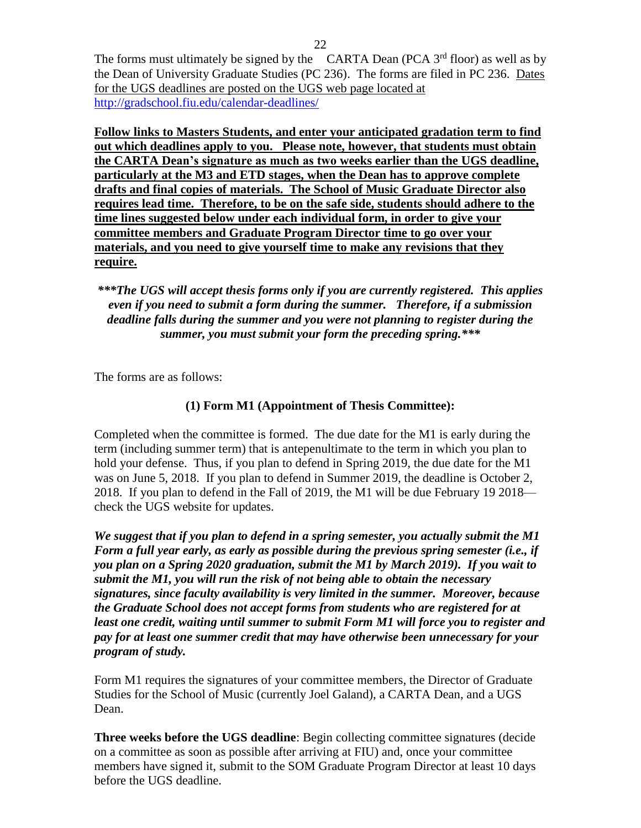The forms must ultimately be signed by the CARTA Dean (PCA  $3<sup>rd</sup>$  floor) as well as by the Dean of University Graduate Studies (PC 236). The forms are filed in PC 236. Dates for the UGS deadlines are posted on the UGS web page located at <http://gradschool.fiu.edu/calendar-deadlines/>

**Follow links to Masters Students, and enter your anticipated gradation term to find out which deadlines apply to you. Please note, however, that students must obtain the CARTA Dean's signature as much as two weeks earlier than the UGS deadline, particularly at the M3 and ETD stages, when the Dean has to approve complete drafts and final copies of materials. The School of Music Graduate Director also requires lead time. Therefore, to be on the safe side, students should adhere to the time lines suggested below under each individual form, in order to give your committee members and Graduate Program Director time to go over your materials, and you need to give yourself time to make any revisions that they require.** 

*\*\*\*The UGS will accept thesis forms only if you are currently registered. This applies even if you need to submit a form during the summer. Therefore, if a submission deadline falls during the summer and you were not planning to register during the summer, you must submit your form the preceding spring.\*\*\**

The forms are as follows:

# **(1) Form M1 (Appointment of Thesis Committee):**

Completed when the committee is formed. The due date for the M1 is early during the term (including summer term) that is antepenultimate to the term in which you plan to hold your defense. Thus, if you plan to defend in Spring 2019, the due date for the M1 was on June 5, 2018. If you plan to defend in Summer 2019, the deadline is October 2, 2018. If you plan to defend in the Fall of 2019, the M1 will be due February 19 2018 check the UGS website for updates.

*We suggest that if you plan to defend in a spring semester, you actually submit the M1 Form a full year early, as early as possible during the previous spring semester (i.e., if you plan on a Spring 2020 graduation, submit the M1 by March 2019). If you wait to submit the M1, you will run the risk of not being able to obtain the necessary signatures, since faculty availability is very limited in the summer. Moreover, because the Graduate School does not accept forms from students who are registered for at least one credit, waiting until summer to submit Form M1 will force you to register and pay for at least one summer credit that may have otherwise been unnecessary for your program of study.*

Form M1 requires the signatures of your committee members, the Director of Graduate Studies for the School of Music (currently Joel Galand), a CARTA Dean, and a UGS Dean.

**Three weeks before the UGS deadline**: Begin collecting committee signatures (decide on a committee as soon as possible after arriving at FIU) and, once your committee members have signed it, submit to the SOM Graduate Program Director at least 10 days before the UGS deadline.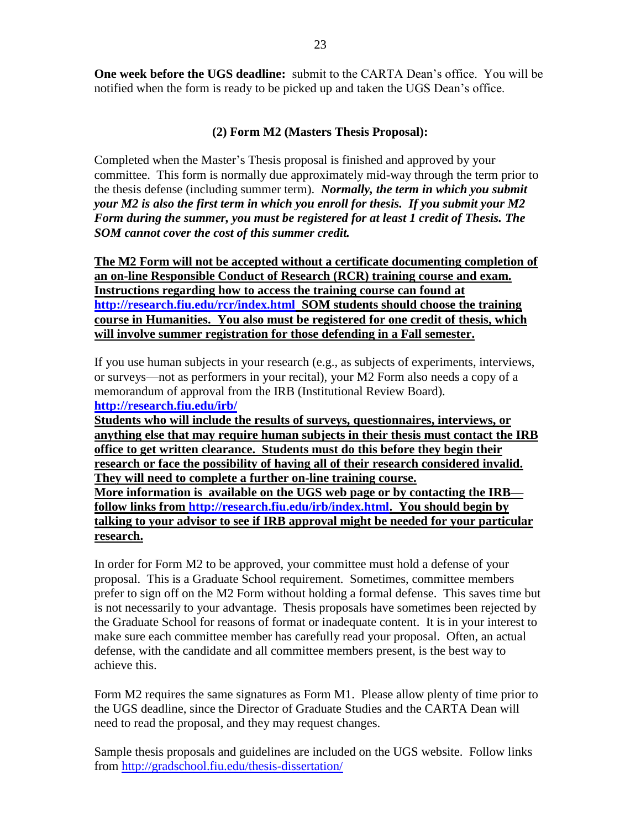**One week before the UGS deadline:** submit to the CARTA Dean's office. You will be notified when the form is ready to be picked up and taken the UGS Dean's office.

# **(2) Form M2 (Masters Thesis Proposal):**

Completed when the Master's Thesis proposal is finished and approved by your committee. This form is normally due approximately mid-way through the term prior to the thesis defense (including summer term). *Normally, the term in which you submit your M2 is also the first term in which you enroll for thesis. If you submit your M2 Form during the summer, you must be registered for at least 1 credit of Thesis. The SOM cannot cover the cost of this summer credit.* 

**The M2 Form will not be accepted without a certificate documenting completion of an on-line Responsible Conduct of Research (RCR) training course and exam. Instructions regarding how to access the training course can found at <http://research.fiu.edu/rcr/index.html>SOM students should choose the training course in Humanities. You also must be registered for one credit of thesis, which will involve summer registration for those defending in a Fall semester.**

If you use human subjects in your research (e.g., as subjects of experiments, interviews, or surveys––not as performers in your recital), your M2 Form also needs a copy of a memorandum of approval from the IRB (Institutional Review Board). **<http://research.fiu.edu/irb/>**

**Students who will include the results of surveys, questionnaires, interviews, or anything else that may require human subjects in their thesis must contact the IRB office to get written clearance. Students must do this before they begin their research or face the possibility of having all of their research considered invalid. They will need to complete a further on-line training course. More information is available on the UGS web page or by contacting the IRB follow links from [http://research.fiu.edu/irb/index.html.](http://research.fiu.edu/irb/index.html) You should begin by talking to your advisor to see if IRB approval might be needed for your particular research.**

In order for Form M2 to be approved, your committee must hold a defense of your proposal. This is a Graduate School requirement. Sometimes, committee members prefer to sign off on the M2 Form without holding a formal defense. This saves time but is not necessarily to your advantage. Thesis proposals have sometimes been rejected by the Graduate School for reasons of format or inadequate content. It is in your interest to make sure each committee member has carefully read your proposal. Often, an actual defense, with the candidate and all committee members present, is the best way to achieve this.

Form M2 requires the same signatures as Form M1. Please allow plenty of time prior to the UGS deadline, since the Director of Graduate Studies and the CARTA Dean will need to read the proposal, and they may request changes.

Sample thesis proposals and guidelines are included on the UGS website. Follow links from<http://gradschool.fiu.edu/thesis-dissertation/>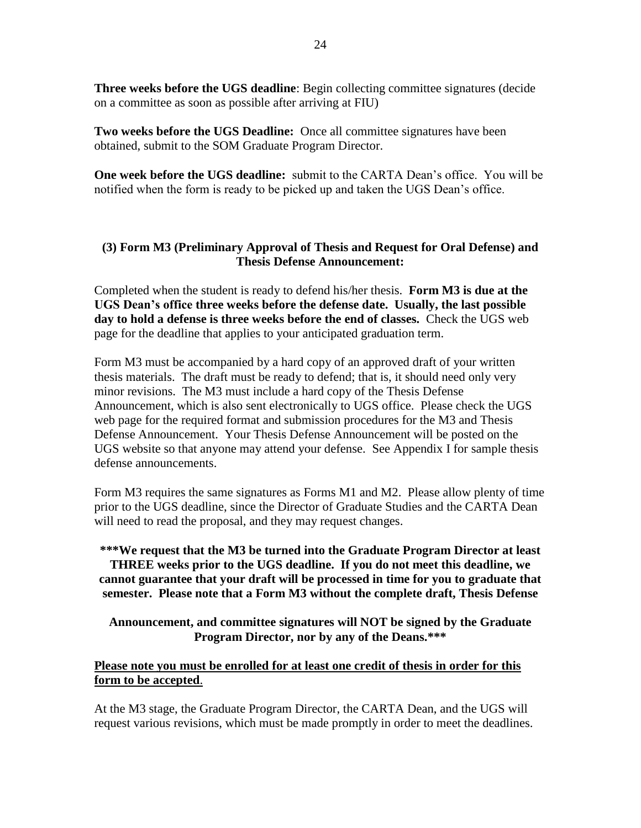**Three weeks before the UGS deadline**: Begin collecting committee signatures (decide on a committee as soon as possible after arriving at FIU)

**Two weeks before the UGS Deadline:** Once all committee signatures have been obtained, submit to the SOM Graduate Program Director.

**One week before the UGS deadline:** submit to the CARTA Dean's office. You will be notified when the form is ready to be picked up and taken the UGS Dean's office.

# **(3) Form M3 (Preliminary Approval of Thesis and Request for Oral Defense) and Thesis Defense Announcement:**

Completed when the student is ready to defend his/her thesis. **Form M3 is due at the UGS Dean's office three weeks before the defense date. Usually, the last possible day to hold a defense is three weeks before the end of classes.** Check the UGS web page for the deadline that applies to your anticipated graduation term.

Form M3 must be accompanied by a hard copy of an approved draft of your written thesis materials. The draft must be ready to defend; that is, it should need only very minor revisions. The M3 must include a hard copy of the Thesis Defense Announcement, which is also sent electronically to UGS office. Please check the UGS web page for the required format and submission procedures for the M3 and Thesis Defense Announcement. Your Thesis Defense Announcement will be posted on the UGS website so that anyone may attend your defense. See Appendix I for sample thesis defense announcements.

Form M3 requires the same signatures as Forms M1 and M2. Please allow plenty of time prior to the UGS deadline, since the Director of Graduate Studies and the CARTA Dean will need to read the proposal, and they may request changes.

**\*\*\*We request that the M3 be turned into the Graduate Program Director at least THREE weeks prior to the UGS deadline. If you do not meet this deadline, we cannot guarantee that your draft will be processed in time for you to graduate that semester. Please note that a Form M3 without the complete draft, Thesis Defense** 

**Announcement, and committee signatures will NOT be signed by the Graduate Program Director, nor by any of the Deans.\*\*\***

## **Please note you must be enrolled for at least one credit of thesis in order for this form to be accepted**.

At the M3 stage, the Graduate Program Director, the CARTA Dean, and the UGS will request various revisions, which must be made promptly in order to meet the deadlines.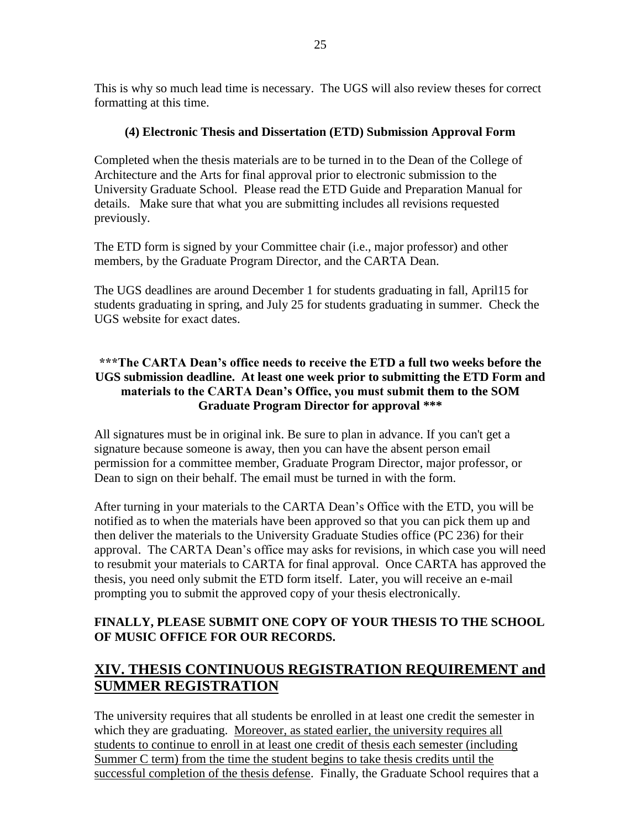This is why so much lead time is necessary. The UGS will also review theses for correct formatting at this time.

# **(4) Electronic Thesis and Dissertation (ETD) Submission Approval Form**

Completed when the thesis materials are to be turned in to the Dean of the College of Architecture and the Arts for final approval prior to electronic submission to the University Graduate School. Please read the ETD Guide and Preparation Manual for details. Make sure that what you are submitting includes all revisions requested previously.

The ETD form is signed by your Committee chair (i.e., major professor) and other members, by the Graduate Program Director, and the CARTA Dean.

The UGS deadlines are around December 1 for students graduating in fall, April15 for students graduating in spring, and July 25 for students graduating in summer. Check the UGS website for exact dates.

# **\*\*\*The CARTA Dean's office needs to receive the ETD a full two weeks before the UGS submission deadline. At least one week prior to submitting the ETD Form and materials to the CARTA Dean's Office, you must submit them to the SOM Graduate Program Director for approval \*\*\***

All signatures must be in original ink. Be sure to plan in advance. If you can't get a signature because someone is away, then you can have the absent person email permission for a committee member, Graduate Program Director, major professor, or Dean to sign on their behalf. The email must be turned in with the form.

After turning in your materials to the CARTA Dean's Office with the ETD, you will be notified as to when the materials have been approved so that you can pick them up and then deliver the materials to the University Graduate Studies office (PC 236) for their approval. The CARTA Dean's office may asks for revisions, in which case you will need to resubmit your materials to CARTA for final approval. Once CARTA has approved the thesis, you need only submit the ETD form itself. Later, you will receive an e-mail prompting you to submit the approved copy of your thesis electronically.

# **FINALLY, PLEASE SUBMIT ONE COPY OF YOUR THESIS TO THE SCHOOL OF MUSIC OFFICE FOR OUR RECORDS.**

# **XIV. THESIS CONTINUOUS REGISTRATION REQUIREMENT and SUMMER REGISTRATION**

The university requires that all students be enrolled in at least one credit the semester in which they are graduating. Moreover, as stated earlier, the university requires all students to continue to enroll in at least one credit of thesis each semester (including Summer C term) from the time the student begins to take thesis credits until the successful completion of the thesis defense. Finally, the Graduate School requires that a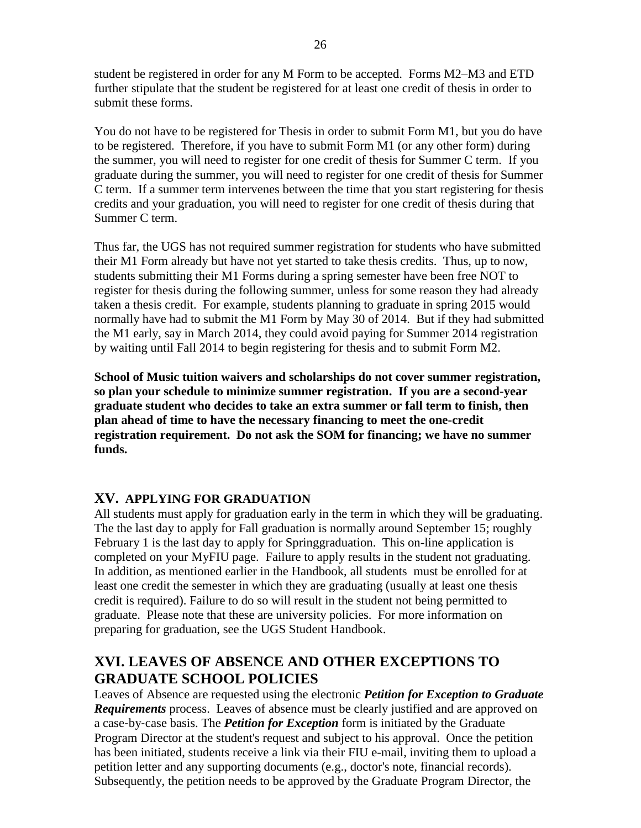student be registered in order for any M Form to be accepted. Forms M2–M3 and ETD further stipulate that the student be registered for at least one credit of thesis in order to submit these forms.

You do not have to be registered for Thesis in order to submit Form M1, but you do have to be registered. Therefore, if you have to submit Form M1 (or any other form) during the summer, you will need to register for one credit of thesis for Summer C term. If you graduate during the summer, you will need to register for one credit of thesis for Summer C term. If a summer term intervenes between the time that you start registering for thesis credits and your graduation, you will need to register for one credit of thesis during that Summer C term.

Thus far, the UGS has not required summer registration for students who have submitted their M1 Form already but have not yet started to take thesis credits. Thus, up to now, students submitting their M1 Forms during a spring semester have been free NOT to register for thesis during the following summer, unless for some reason they had already taken a thesis credit. For example, students planning to graduate in spring 2015 would normally have had to submit the M1 Form by May 30 of 2014. But if they had submitted the M1 early, say in March 2014, they could avoid paying for Summer 2014 registration by waiting until Fall 2014 to begin registering for thesis and to submit Form M2.

**School of Music tuition waivers and scholarships do not cover summer registration, so plan your schedule to minimize summer registration. If you are a second-year graduate student who decides to take an extra summer or fall term to finish, then plan ahead of time to have the necessary financing to meet the one-credit registration requirement. Do not ask the SOM for financing; we have no summer funds.**

# **XV. APPLYING FOR GRADUATION**

All students must apply for graduation early in the term in which they will be graduating. The the last day to apply for Fall graduation is normally around September 15; roughly February 1 is the last day to apply for Springgraduation. This on-line application is completed on your MyFIU page. Failure to apply results in the student not graduating. In addition, as mentioned earlier in the Handbook, all students must be enrolled for at least one credit the semester in which they are graduating (usually at least one thesis credit is required). Failure to do so will result in the student not being permitted to graduate. Please note that these are university policies. For more information on preparing for graduation, see the UGS Student Handbook.

# **XVI. LEAVES OF ABSENCE AND OTHER EXCEPTIONS TO GRADUATE SCHOOL POLICIES**

Leaves of Absence are requested using the electronic *Petition for Exception to Graduate Requirements* process. Leaves of absence must be clearly justified and are approved on a case‐by‐case basis. The *Petition for Exception* form is initiated by the Graduate Program Director at the student's request and subject to his approval. Once the petition has been initiated, students receive a link via their FIU e-mail, inviting them to upload a petition letter and any supporting documents (e.g., doctor's note, financial records). Subsequently, the petition needs to be approved by the Graduate Program Director, the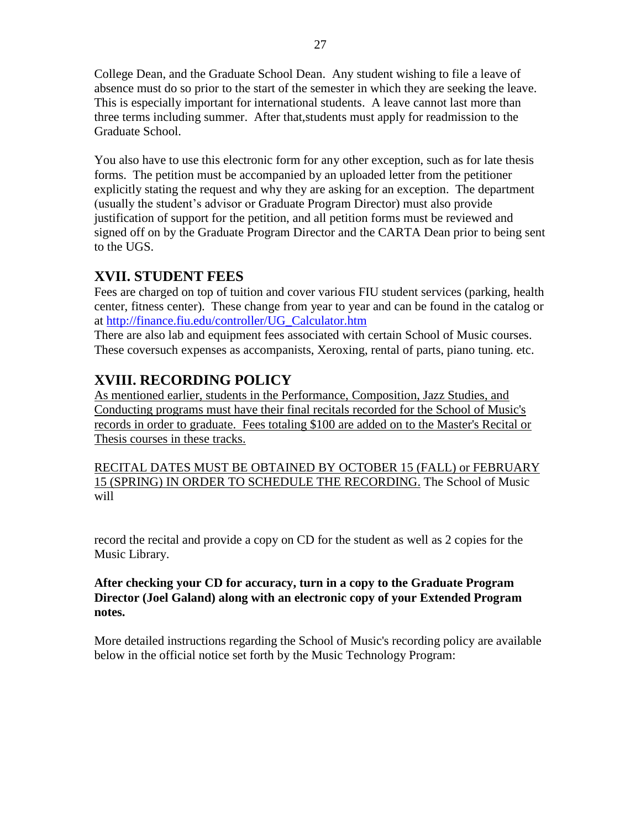College Dean, and the Graduate School Dean. Any student wishing to file a leave of absence must do so prior to the start of the semester in which they are seeking the leave. This is especially important for international students. A leave cannot last more than three terms including summer. After that,students must apply for readmission to the Graduate School.

You also have to use this electronic form for any other exception, such as for late thesis forms. The petition must be accompanied by an uploaded letter from the petitioner explicitly stating the request and why they are asking for an exception. The department (usually the student's advisor or Graduate Program Director) must also provide justification of support for the petition, and all petition forms must be reviewed and signed off on by the Graduate Program Director and the CARTA Dean prior to being sent to the UGS.

# **XVII. STUDENT FEES**

Fees are charged on top of tuition and cover various FIU student services (parking, health center, fitness center). These change from year to year and can be found in the catalog or at [http://finance.fiu.edu/controller/UG\\_Calculator.htm](http://finance.fiu.edu/controller/UG_Calculator.htm)

There are also lab and equipment fees associated with certain School of Music courses. These coversuch expenses as accompanists, Xeroxing, rental of parts, piano tuning. etc.

# **XVIII. RECORDING POLICY**

As mentioned earlier, students in the Performance, Composition, Jazz Studies, and Conducting programs must have their final recitals recorded for the School of Music's records in order to graduate. Fees totaling \$100 are added on to the Master's Recital or Thesis courses in these tracks.

RECITAL DATES MUST BE OBTAINED BY OCTOBER 15 (FALL) or FEBRUARY 15 (SPRING) IN ORDER TO SCHEDULE THE RECORDING. The School of Music will

record the recital and provide a copy on CD for the student as well as 2 copies for the Music Library.

# **After checking your CD for accuracy, turn in a copy to the Graduate Program Director (Joel Galand) along with an electronic copy of your Extended Program notes.**

More detailed instructions regarding the School of Music's recording policy are available below in the official notice set forth by the Music Technology Program: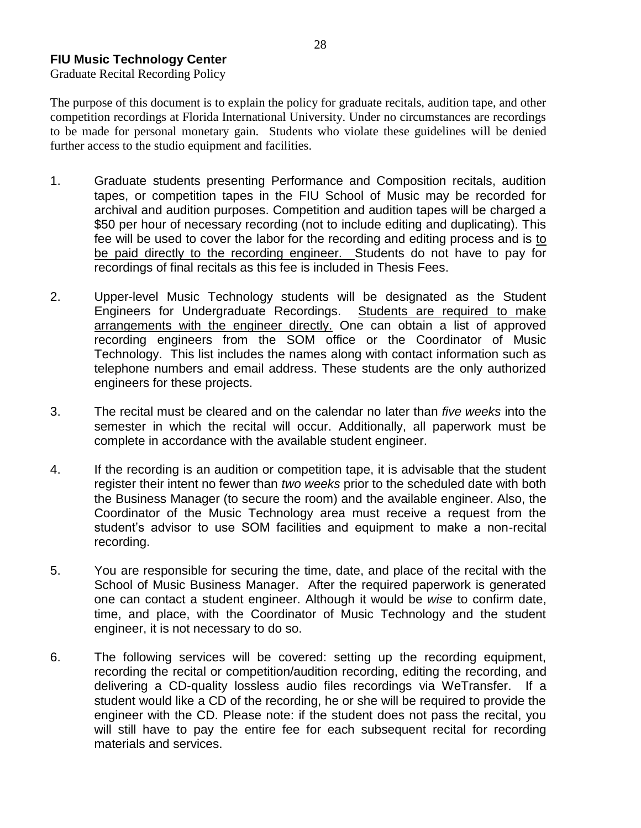# **FIU Music Technology Center**

Graduate Recital Recording Policy

The purpose of this document is to explain the policy for graduate recitals, audition tape, and other competition recordings at Florida International University. Under no circumstances are recordings to be made for personal monetary gain. Students who violate these guidelines will be denied further access to the studio equipment and facilities.

- 1. Graduate students presenting Performance and Composition recitals, audition tapes, or competition tapes in the FIU School of Music may be recorded for archival and audition purposes. Competition and audition tapes will be charged a \$50 per hour of necessary recording (not to include editing and duplicating). This fee will be used to cover the labor for the recording and editing process and is to be paid directly to the recording engineer. Students do not have to pay for recordings of final recitals as this fee is included in Thesis Fees.
- 2. Upper-level Music Technology students will be designated as the Student Engineers for Undergraduate Recordings. Students are required to make arrangements with the engineer directly. One can obtain a list of approved recording engineers from the SOM office or the Coordinator of Music Technology. This list includes the names along with contact information such as telephone numbers and email address. These students are the only authorized engineers for these projects.
- 3. The recital must be cleared and on the calendar no later than *five weeks* into the semester in which the recital will occur. Additionally, all paperwork must be complete in accordance with the available student engineer.
- 4. If the recording is an audition or competition tape, it is advisable that the student register their intent no fewer than *two weeks* prior to the scheduled date with both the Business Manager (to secure the room) and the available engineer. Also, the Coordinator of the Music Technology area must receive a request from the student's advisor to use SOM facilities and equipment to make a non-recital recording.
- 5. You are responsible for securing the time, date, and place of the recital with the School of Music Business Manager. After the required paperwork is generated one can contact a student engineer. Although it would be *wise* to confirm date, time, and place, with the Coordinator of Music Technology and the student engineer, it is not necessary to do so.
- 6. The following services will be covered: setting up the recording equipment, recording the recital or competition/audition recording, editing the recording, and delivering a CD-quality lossless audio files recordings via WeTransfer. If a student would like a CD of the recording, he or she will be required to provide the engineer with the CD. Please note: if the student does not pass the recital, you will still have to pay the entire fee for each subsequent recital for recording materials and services.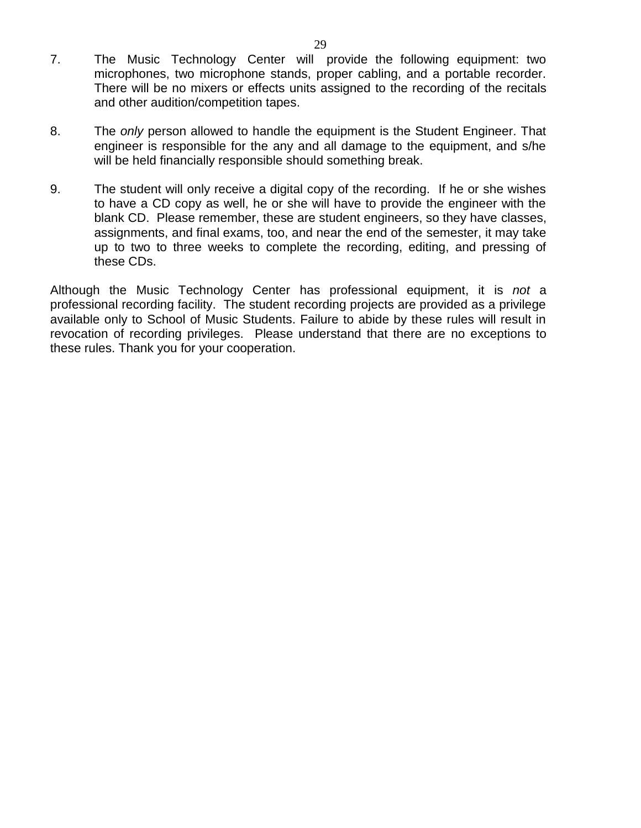- 7. The Music Technology Center will provide the following equipment: two microphones, two microphone stands, proper cabling, and a portable recorder. There will be no mixers or effects units assigned to the recording of the recitals and other audition/competition tapes.
- 8. The *only* person allowed to handle the equipment is the Student Engineer. That engineer is responsible for the any and all damage to the equipment, and s/he will be held financially responsible should something break.
- 9. The student will only receive a digital copy of the recording. If he or she wishes to have a CD copy as well, he or she will have to provide the engineer with the blank CD. Please remember, these are student engineers, so they have classes, assignments, and final exams, too, and near the end of the semester, it may take up to two to three weeks to complete the recording, editing, and pressing of these CDs.

Although the Music Technology Center has professional equipment, it is *not* a professional recording facility. The student recording projects are provided as a privilege available only to School of Music Students. Failure to abide by these rules will result in revocation of recording privileges. Please understand that there are no exceptions to these rules. Thank you for your cooperation.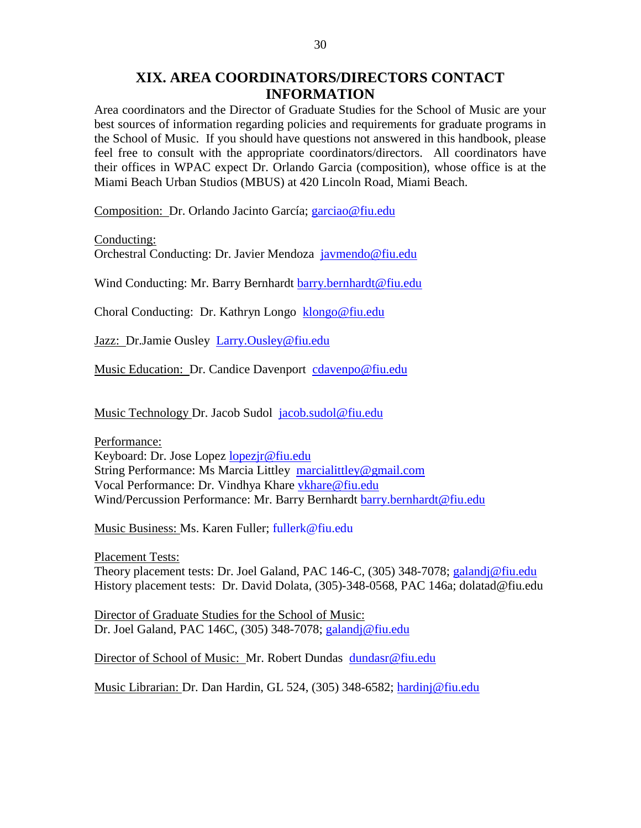# **XIX. AREA COORDINATORS/DIRECTORS CONTACT INFORMATION**

Area coordinators and the Director of Graduate Studies for the School of Music are your best sources of information regarding policies and requirements for graduate programs in the School of Music. If you should have questions not answered in this handbook, please feel free to consult with the appropriate coordinators/directors. All coordinators have their offices in WPAC expect Dr. Orlando Garcia (composition), whose office is at the Miami Beach Urban Studios (MBUS) at 420 Lincoln Road, Miami Beach.

Composition: Dr. Orlando Jacinto García; [garciao@fiu.edu](mailto:garciao@fiu.edu)

Conducting: Orchestral Conducting: Dr. Javier Mendoza [javmendo@fiu.edu](mailto:javmendo@fiu.edu)

Wind Conducting: Mr. Barry Bernhardt [barry.bernhardt@fiu.edu](mailto:barry.bernhardt@fiu.edu)

Choral Conducting: Dr. Kathryn Longo [klongo@fiu.edu](mailto:klongo@fiu.edu)

Jazz: Dr.Jamie Ousley [Larry.Ousley@fiu.edu](mailto:Larry.Ousley@fiu.edu)

Music Education: Dr. Candice Davenport [cdavenpo@fiu.edu](mailto:cdavenpo@fiu.edu)

Music Technology Dr. Jacob Sudol [jacob.sudol@fiu.edu](mailto:jacob.sudol@fiu.edu)

Performance: Keyboard: Dr. Jose Lopez [lopezjr@fiu.edu](mailto:lopezjr@fiu.edu) String Performance: Ms Marcia Littley [marcialittley@gmail.com](mailto:marcialittley@gmail.com) Vocal Performance: Dr. Vindhya Khare [vkhare@fiu.edu](mailto:vkhare@fiu.edu) Wind/Percussion Performance: Mr. Barry Bernhardt [barry.bernhardt@fiu.edu](mailto:barry.bernhardt@fiu.edu)

Music Business: Ms. Karen Fuller; [fullerk@fiu.edu](mailto:fullerk@fiu.edu)

Placement Tests: Theory placement tests: Dr. Joel Galand, PAC 146-C, (305) 348-7078; [galandj@fiu.edu](mailto:galandj@fiu.edu) History placement tests: Dr. David Dolata, (305)-348-0568, PAC 146a; dolatad@fiu.edu

Director of Graduate Studies for the School of Music: Dr. Joel Galand, PAC 146C, (305) 348-7078; [galandj@fiu.edu](mailto:galandj@fiu.edu)

Director of School of Music: Mr. Robert Dundas [dundasr@fiu.edu](mailto:dundasr@fiu.edu)

Music Librarian: Dr. Dan Hardin, GL 524, (305) 348-6582; [hardinj@fiu.edu](mailto:hardinj@fiu.edu)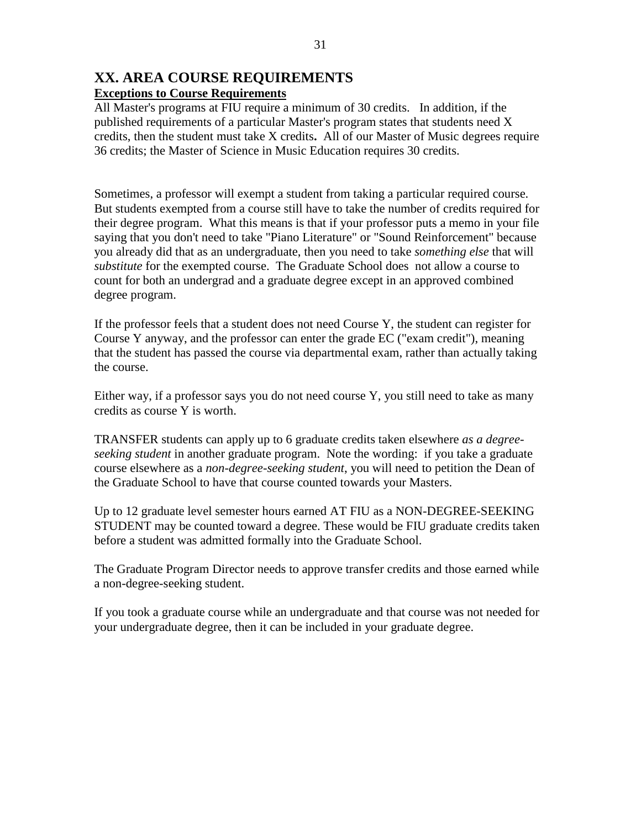## **XX. AREA COURSE REQUIREMENTS Exceptions to Course Requirements**

All Master's programs at FIU require a minimum of 30 credits. In addition, if the published requirements of a particular Master's program states that students need X credits, then the student must take X credits**.** All of our Master of Music degrees require 36 credits; the Master of Science in Music Education requires 30 credits.

Sometimes, a professor will exempt a student from taking a particular required course. But students exempted from a course still have to take the number of credits required for their degree program. What this means is that if your professor puts a memo in your file saying that you don't need to take "Piano Literature" or "Sound Reinforcement" because you already did that as an undergraduate, then you need to take *something else* that will *substitute* for the exempted course. The Graduate School does not allow a course to count for both an undergrad and a graduate degree except in an approved combined degree program.

If the professor feels that a student does not need Course Y, the student can register for Course Y anyway, and the professor can enter the grade EC ("exam credit"), meaning that the student has passed the course via departmental exam, rather than actually taking the course.

Either way, if a professor says you do not need course Y, you still need to take as many credits as course Y is worth.

TRANSFER students can apply up to 6 graduate credits taken elsewhere *as a degreeseeking student* in another graduate program. Note the wording: if you take a graduate course elsewhere as a *non-degree-seeking student*, you will need to petition the Dean of the Graduate School to have that course counted towards your Masters.

Up to 12 graduate level semester hours earned AT FIU as a NON-DEGREE-SEEKING STUDENT may be counted toward a degree. These would be FIU graduate credits taken before a student was admitted formally into the Graduate School.

The Graduate Program Director needs to approve transfer credits and those earned while a non-degree-seeking student.

If you took a graduate course while an undergraduate and that course was not needed for your undergraduate degree, then it can be included in your graduate degree.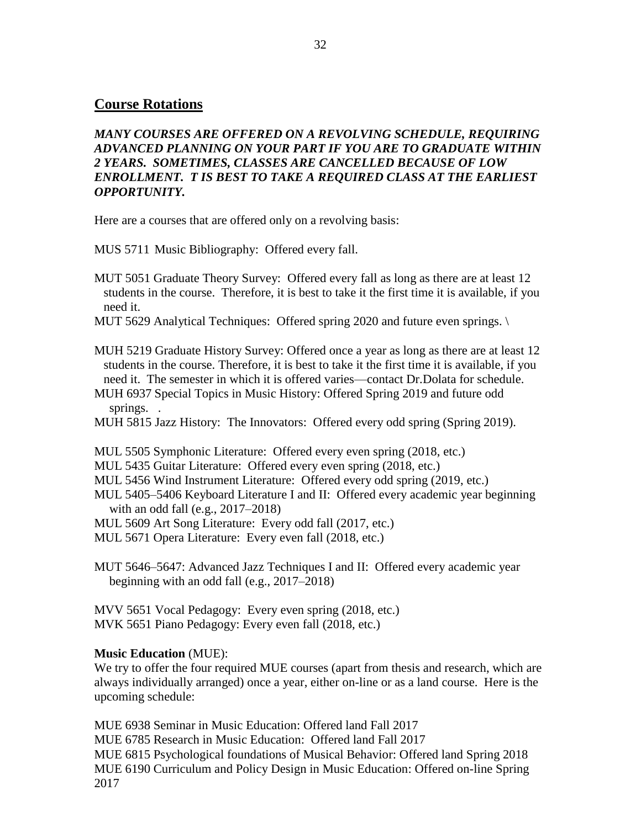# **Course Rotations**

*MANY COURSES ARE OFFERED ON A REVOLVING SCHEDULE, REQUIRING ADVANCED PLANNING ON YOUR PART IF YOU ARE TO GRADUATE WITHIN 2 YEARS. SOMETIMES, CLASSES ARE CANCELLED BECAUSE OF LOW ENROLLMENT. T IS BEST TO TAKE A REQUIRED CLASS AT THE EARLIEST OPPORTUNITY.*

Here are a courses that are offered only on a revolving basis:

MUS 5711 Music Bibliography: Offered every fall.

- MUT 5051 Graduate Theory Survey: Offered every fall as long as there are at least 12 students in the course. Therefore, it is best to take it the first time it is available, if you need it.
- MUT 5629 Analytical Techniques: Offered spring 2020 and future even springs.

MUH 5219 Graduate History Survey: Offered once a year as long as there are at least 12 students in the course. Therefore, it is best to take it the first time it is available, if you need it. The semester in which it is offered varies—contact Dr.Dolata for schedule.

- MUH 6937 Special Topics in Music History: Offered Spring 2019 and future odd springs.
- MUH 5815 Jazz History: The Innovators: Offered every odd spring (Spring 2019).

MUL 5505 Symphonic Literature: Offered every even spring (2018, etc.)

- MUL 5435 Guitar Literature: Offered every even spring (2018, etc.)
- MUL 5456 Wind Instrument Literature: Offered every odd spring (2019, etc.)
- MUL 5405–5406 Keyboard Literature I and II: Offered every academic year beginning with an odd fall (e.g., 2017–2018)
- MUL 5609 Art Song Literature: Every odd fall (2017, etc.)

MUL 5671 Opera Literature: Every even fall (2018, etc.)

MUT 5646–5647: Advanced Jazz Techniques I and II: Offered every academic year beginning with an odd fall (e.g., 2017–2018)

MVV 5651 Vocal Pedagogy: Every even spring (2018, etc.) MVK 5651 Piano Pedagogy: Every even fall (2018, etc.)

## **Music Education** (MUE):

We try to offer the four required MUE courses (apart from thesis and research, which are always individually arranged) once a year, either on-line or as a land course. Here is the upcoming schedule:

MUE 6938 Seminar in Music Education: Offered land Fall 2017 MUE 6785 Research in Music Education: Offered land Fall 2017 MUE 6815 Psychological foundations of Musical Behavior: Offered land Spring 2018 MUE 6190 Curriculum and Policy Design in Music Education: Offered on-line Spring 2017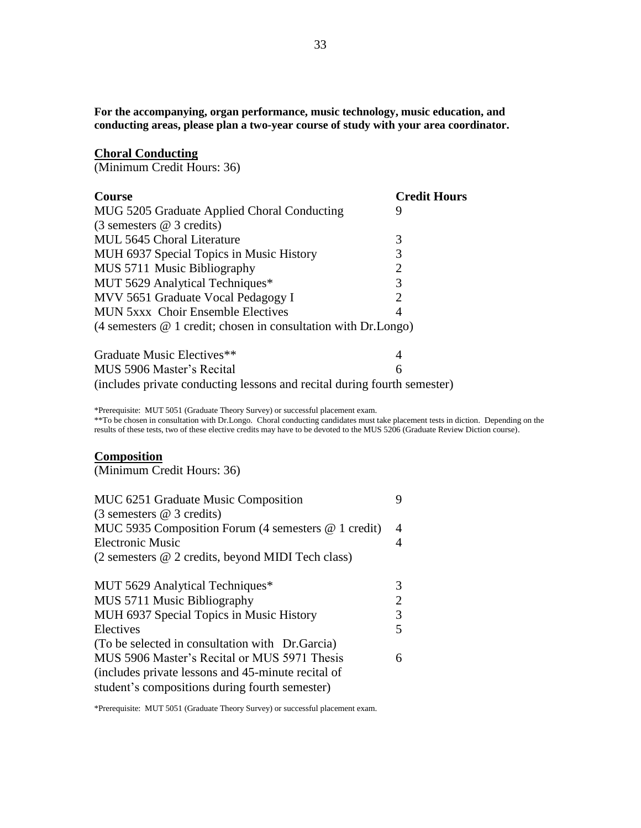**For the accompanying, organ performance, music technology, music education, and conducting areas, please plan a two-year course of study with your area coordinator.**

#### **Choral Conducting**

(Minimum Credit Hours: 36)

| <b>Course</b>                                                                             | <b>Credit Hours</b> |
|-------------------------------------------------------------------------------------------|---------------------|
| MUG 5205 Graduate Applied Choral Conducting                                               | 9                   |
| $(3$ semesters $@$ 3 credits)                                                             |                     |
| MUL 5645 Choral Literature                                                                | 3                   |
| MUH 6937 Special Topics in Music History                                                  | 3                   |
| MUS 5711 Music Bibliography                                                               | 2                   |
| MUT 5629 Analytical Techniques*                                                           | 3                   |
| MVV 5651 Graduate Vocal Pedagogy I                                                        | 2                   |
| <b>MUN 5xxx Choir Ensemble Electives</b>                                                  | 4                   |
| (4 semesters $@$ 1 credit; chosen in consultation with Dr.Longo)                          |                     |
| $C_{\text{max}}$ 1. $\pm 1.5$ M <sub>1</sub> $\pm 1.5$ T <sub>1</sub> $\pm 1.5$ $\pm 1.5$ |                     |

| Graduate Music Electives**                                               |  |
|--------------------------------------------------------------------------|--|
| MUS 5906 Master's Recital                                                |  |
| (includes private conducting lessons and recital during fourth semester) |  |

\*Prerequisite: MUT 5051 (Graduate Theory Survey) or successful placement exam.

\*\*To be chosen in consultation with Dr.Longo. Choral conducting candidates must take placement tests in diction. Depending on the results of these tests, two of these elective credits may have to be devoted to the MUS 5206 (Graduate Review Diction course).

# **Composition**

(Minimum Credit Hours: 36)

| MUC 6251 Graduate Music Composition                 | Q              |
|-----------------------------------------------------|----------------|
| $(3$ semesters $@$ 3 credits)                       |                |
| MUC 5935 Composition Forum (4 semesters @ 1 credit) | 4              |
| <b>Electronic Music</b>                             | 4              |
| (2 semesters @ 2 credits, beyond MIDI Tech class)   |                |
| MUT 5629 Analytical Techniques*                     | 3              |
| MUS 5711 Music Bibliography                         | $\overline{2}$ |
| MUH 6937 Special Topics in Music History            | 3              |
| Electives                                           | 5              |
| (To be selected in consultation with Dr. Garcia)    |                |
| MUS 5906 Master's Recital or MUS 5971 Thesis        | 6              |
| (includes private lessons and 45-minute recital of  |                |
| student's compositions during fourth semester)      |                |

\*Prerequisite: MUT 5051 (Graduate Theory Survey) or successful placement exam.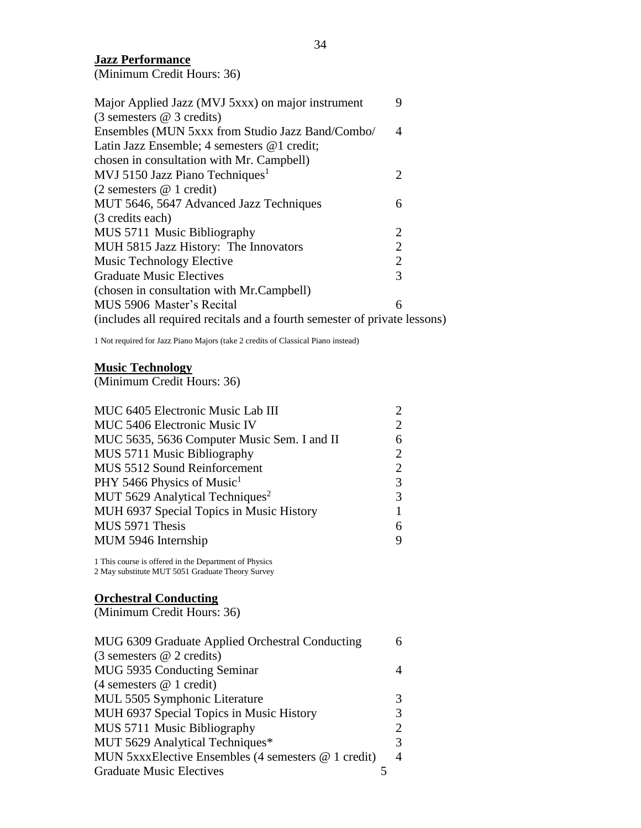#### **Jazz Performance**

(Minimum Credit Hours: 36)

| Major Applied Jazz (MVJ 5xxx) on major instrument                         | 9              |
|---------------------------------------------------------------------------|----------------|
| $(3$ semesters $@$ 3 credits)                                             |                |
| Ensembles (MUN 5xxx from Studio Jazz Band/Combo/                          | 4              |
| Latin Jazz Ensemble; 4 semesters @1 credit;                               |                |
| chosen in consultation with Mr. Campbell)                                 |                |
| MVJ 5150 Jazz Piano Techniques <sup>1</sup>                               | 2              |
| $(2$ semesters $@$ 1 credit)                                              |                |
| MUT 5646, 5647 Advanced Jazz Techniques                                   | 6              |
| (3 credits each)                                                          |                |
| MUS 5711 Music Bibliography                                               | 2              |
| MUH 5815 Jazz History: The Innovators                                     | $\overline{2}$ |
| Music Technology Elective                                                 | $\overline{2}$ |
| <b>Graduate Music Electives</b>                                           | 3              |
| (chosen in consultation with Mr.Campbell)                                 |                |
| MUS 5906 Master's Recital                                                 | 6              |
| (includes all required recitals and a fourth semester of private lessons) |                |

1 Not required for Jazz Piano Majors (take 2 credits of Classical Piano instead)

#### **Music Technology**

(Minimum Credit Hours: 36)

| MUC 6405 Electronic Music Lab III           | $\mathcal{D}_{\cdot}$ |
|---------------------------------------------|-----------------------|
| MUC 5406 Electronic Music IV                | $\mathcal{D}_{\cdot}$ |
| MUC 5635, 5636 Computer Music Sem. I and II | 6                     |
| MUS 5711 Music Bibliography                 | 2                     |
| MUS 5512 Sound Reinforcement                | 2                     |
| PHY 5466 Physics of Music <sup>1</sup>      | 3                     |
| MUT 5629 Analytical Techniques <sup>2</sup> | 3                     |
| MUH 6937 Special Topics in Music History    |                       |
| MUS 5971 Thesis                             | 6                     |
| MUM 5946 Internship                         | 9                     |
|                                             |                       |

1 This course is offered in the Department of Physics 2 May substitute MUT 5051 Graduate Theory Survey

# **Orchestral Conducting**

(Minimum Credit Hours: 36)

| MUG 6309 Graduate Applied Orchestral Conducting          |   |
|----------------------------------------------------------|---|
| $(3$ semesters $@$ 2 credits)                            |   |
| MUG 5935 Conducting Seminar                              |   |
| $(4$ semesters $@ 1$ credit)                             |   |
| MUL 5505 Symphonic Literature                            |   |
| MUH 6937 Special Topics in Music History                 |   |
| MUS 5711 Music Bibliography                              |   |
| MUT 5629 Analytical Techniques*                          | 3 |
| MUN $5$ xxxElective Ensembles (4 semesters $@$ 1 credit) | 4 |
| <b>Graduate Music Electives</b>                          |   |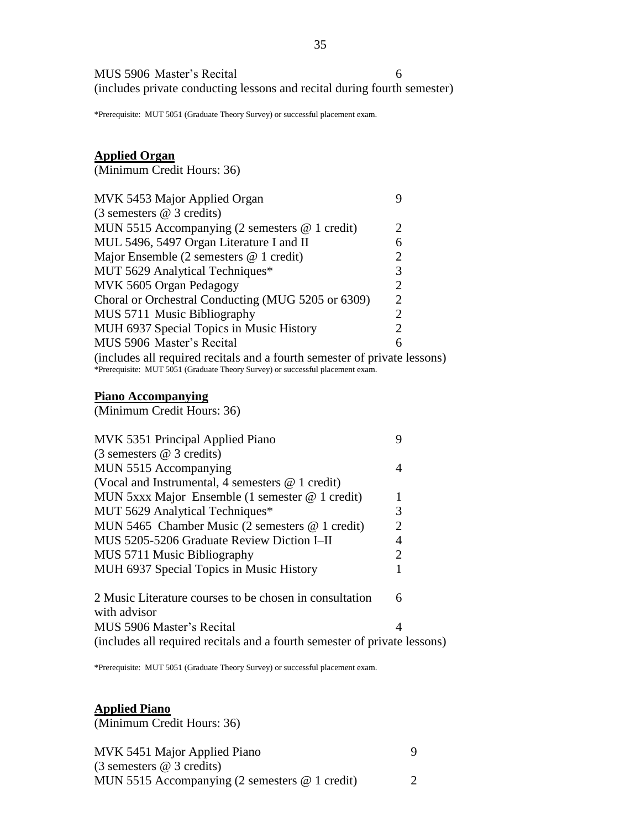MUS 5906 Master's Recital 6 (includes private conducting lessons and recital during fourth semester)

\*Prerequisite: MUT 5051 (Graduate Theory Survey) or successful placement exam.

# **Applied Organ**

(Minimum Credit Hours: 36)

| MVK 5453 Major Applied Organ                                                   |                             |
|--------------------------------------------------------------------------------|-----------------------------|
| $(3$ semesters $@$ 3 credits)                                                  |                             |
| MUN 5515 Accompanying (2 semesters $@$ 1 credit)                               | 2                           |
| MUL 5496, 5497 Organ Literature I and II                                       | 6                           |
| Major Ensemble (2 semesters $@$ 1 credit)                                      | 2                           |
| MUT 5629 Analytical Techniques*                                                | 3                           |
| MVK 5605 Organ Pedagogy                                                        | 2                           |
| Choral or Orchestral Conducting (MUG 5205 or 6309)                             | $\mathcal{D}_{\mathcal{L}}$ |
| MUS 5711 Music Bibliography                                                    | 2                           |
| MUH 6937 Special Topics in Music History                                       | $\mathcal{D}_{\mathcal{L}}$ |
| MUS 5906 Master's Recital                                                      | 6                           |
| (includes all required recitals and a fourth semester of private lessons)      |                             |
| *Prerequisite: MUT 5051 (Graduate Theory Survey) or successful placement exam. |                             |

#### **Piano Accompanying**

(Minimum Credit Hours: 36)

| MVK 5351 Principal Applied Piano                                        |   |  |
|-------------------------------------------------------------------------|---|--|
| $(3$ semesters $@$ 3 credits)                                           |   |  |
| MUN 5515 Accompanying                                                   |   |  |
| (Vocal and Instrumental, 4 semesters @ 1 credit)                        |   |  |
| MUN 5xxx Major Ensemble (1 semester $@$ 1 credit)                       | 1 |  |
| MUT 5629 Analytical Techniques*                                         | 3 |  |
| MUN 5465 Chamber Music (2 semesters @ 1 credit)                         | 2 |  |
| MUS 5205-5206 Graduate Review Diction I-II                              | 4 |  |
| MUS 5711 Music Bibliography                                             | 2 |  |
| MUH 6937 Special Topics in Music History                                |   |  |
| 2 Music Literature courses to be chosen in consultation<br>with advisor | 6 |  |
| MUS 5906 Master's Recital                                               |   |  |
|                                                                         |   |  |

(includes all required recitals and a fourth semester of private lessons)

\*Prerequisite: MUT 5051 (Graduate Theory Survey) or successful placement exam.

# **Applied Piano**

(Minimum Credit Hours: 36)

MVK 5451 Major Applied Piano 9 (3 semesters @ 3 credits) MUN 5515 Accompanying (2 semesters @ 1 credit) 2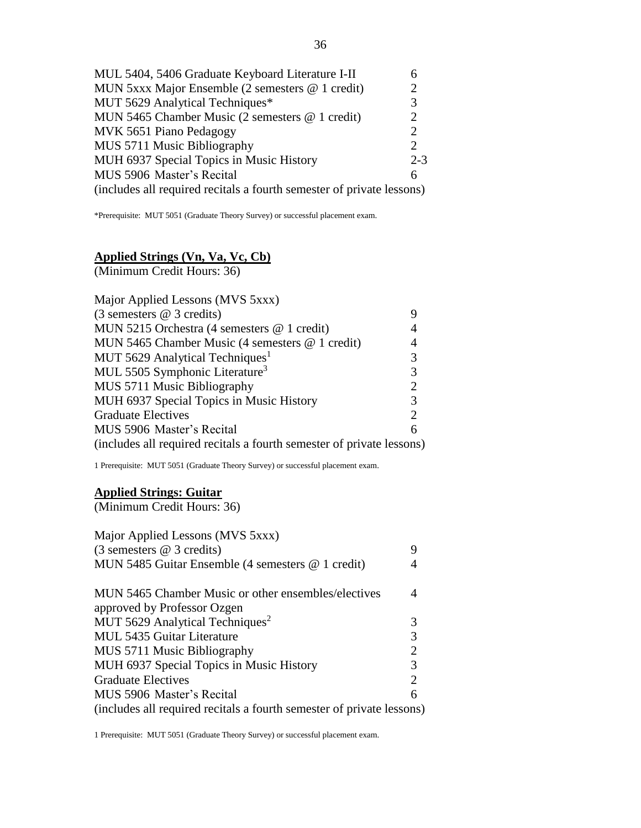| MUL 5404, 5406 Graduate Keyboard Literature I-II                      |                       |
|-----------------------------------------------------------------------|-----------------------|
| MUN 5xxx Major Ensemble $(2 \text{ semesters } @ 1 \text{ credit})$   | 2                     |
| MUT 5629 Analytical Techniques*                                       | 3                     |
| MUN 5465 Chamber Music (2 semesters $@$ 1 credit)                     | 2                     |
| MVK 5651 Piano Pedagogy                                               | $\mathcal{D}_{\cdot}$ |
| MUS 5711 Music Bibliography                                           | $\mathcal{D}_{\cdot}$ |
| MUH 6937 Special Topics in Music History                              | $2 - 3$               |
| MUS 5906 Master's Recital                                             | 6                     |
| (includes all required recitals a fourth semester of private lessons) |                       |

\*Prerequisite: MUT 5051 (Graduate Theory Survey) or successful placement exam.

# **Applied Strings (Vn, Va, Vc, Cb)**

(Minimum Credit Hours: 36)

| Major Applied Lessons (MVS 5xxx)                                      |                |
|-----------------------------------------------------------------------|----------------|
| $(3$ semesters @ 3 credits)                                           |                |
| MUN 5215 Orchestra (4 semesters @ 1 credit)                           | 4              |
| MUN 5465 Chamber Music (4 semesters @ 1 credit)                       | 4              |
| MUT 5629 Analytical Techniques <sup>1</sup>                           | 3              |
| MUL 5505 Symphonic Literature <sup>3</sup>                            | 3              |
| MUS 5711 Music Bibliography                                           | $\overline{2}$ |
| MUH 6937 Special Topics in Music History                              | 3              |
| <b>Graduate Electives</b>                                             | 2              |
| MUS 5906 Master's Recital                                             | 6              |
| (includes all required recitals a fourth semester of private lessons) |                |

1 Prerequisite: MUT 5051 (Graduate Theory Survey) or successful placement exam.

#### **Applied Strings: Guitar**

(Minimum Credit Hours: 36)

| Major Applied Lessons (MVS 5xxx)                                      |                |
|-----------------------------------------------------------------------|----------------|
| $(3$ semesters $@$ 3 credits)                                         | 9              |
| MUN 5485 Guitar Ensemble (4 semesters @ 1 credit)                     |                |
| MUN 5465 Chamber Music or other ensembles/electives                   | 4              |
| approved by Professor Ozgen                                           |                |
| MUT 5629 Analytical Techniques <sup>2</sup>                           | 3              |
| <b>MUL 5435 Guitar Literature</b>                                     | 3              |
| MUS 5711 Music Bibliography                                           | $\overline{2}$ |
| MUH 6937 Special Topics in Music History                              | 3              |
| <b>Graduate Electives</b>                                             | $\overline{2}$ |
| MUS 5906 Master's Recital                                             | 6              |
| (includes all required recitals a fourth semester of private lessons) |                |

1 Prerequisite: MUT 5051 (Graduate Theory Survey) or successful placement exam.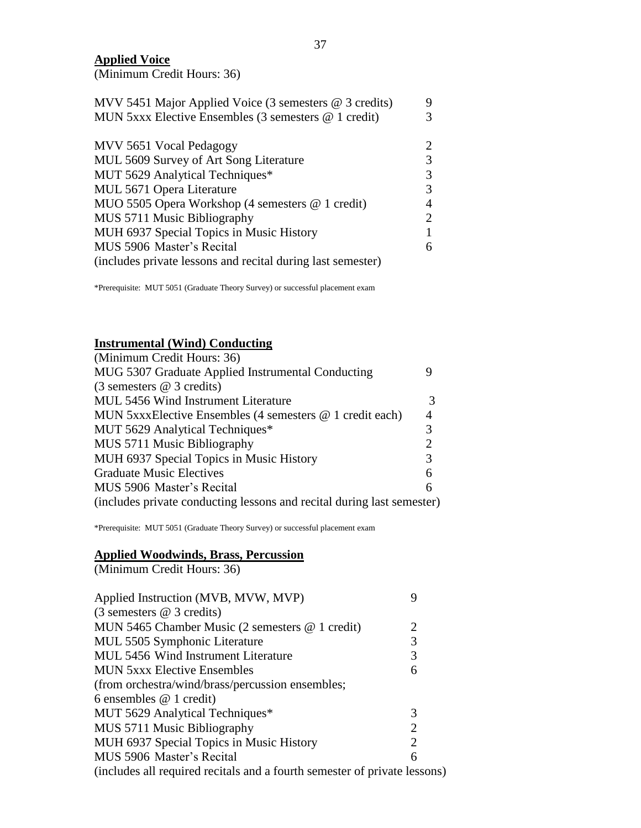**Applied Voice**

(Minimum Credit Hours: 36)

| MVV 5451 Major Applied Voice (3 semesters $@$ 3 credits)    | Q                           |
|-------------------------------------------------------------|-----------------------------|
| MUN $5xxx$ Elective Ensembles (3 semesters $@ 1$ credit)    |                             |
|                                                             |                             |
| MVV 5651 Vocal Pedagogy                                     | $\mathcal{D}_{\mathcal{L}}$ |
| MUL 5609 Survey of Art Song Literature                      |                             |
| MUT 5629 Analytical Techniques*                             | 3                           |
| MUL 5671 Opera Literature                                   | 3                           |
| MUO 5505 Opera Workshop (4 semesters @ 1 credit)            |                             |
| MUS 5711 Music Bibliography                                 | 2                           |
| MUH 6937 Special Topics in Music History                    |                             |
| MUS 5906 Master's Recital                                   | 6                           |
| (includes private lessons and recital during last semester) |                             |

\*Prerequisite: MUT 5051 (Graduate Theory Survey) or successful placement exam

# **Instrumental (Wind) Conducting**

| (Minimum Credit Hours: 36)                                             |                             |
|------------------------------------------------------------------------|-----------------------------|
| MUG 5307 Graduate Applied Instrumental Conducting                      |                             |
| $(3$ semesters $@$ 3 credits)                                          |                             |
| MUL 5456 Wind Instrument Literature                                    |                             |
| MUN 5xxxElective Ensembles (4 semesters @ 1 credit each)               | 4                           |
| MUT 5629 Analytical Techniques*                                        | 3                           |
| MUS 5711 Music Bibliography                                            | $\mathcal{D}_{\mathcal{L}}$ |
| MUH 6937 Special Topics in Music History                               | 3                           |
| <b>Graduate Music Electives</b>                                        | 6                           |
| MUS 5906 Master's Recital                                              | 6                           |
| (includes private conducting lessons and recital during last semester) |                             |

\*Prerequisite: MUT 5051 (Graduate Theory Survey) or successful placement exam

#### **Applied Woodwinds, Brass, Percussion**

(Minimum Credit Hours: 36)

| Applied Instruction (MVB, MVW, MVP)                                       |                |
|---------------------------------------------------------------------------|----------------|
| $(3$ semesters $@$ 3 credits)                                             |                |
| MUN 5465 Chamber Music (2 semesters @ 1 credit)                           | 2              |
| MUL 5505 Symphonic Literature                                             | 3              |
| MUL 5456 Wind Instrument Literature                                       | 3              |
| <b>MUN 5xxx Elective Ensembles</b>                                        | 6              |
| (from orchestra/wind/brass/percussion ensembles;                          |                |
| 6 ensembles $@$ 1 credit)                                                 |                |
| MUT 5629 Analytical Techniques*                                           | 3              |
| MUS 5711 Music Bibliography                                               | $\overline{2}$ |
| MUH 6937 Special Topics in Music History                                  | 2              |
| MUS 5906 Master's Recital                                                 | 6              |
| (includes all required recitals and a fourth semester of private lessons) |                |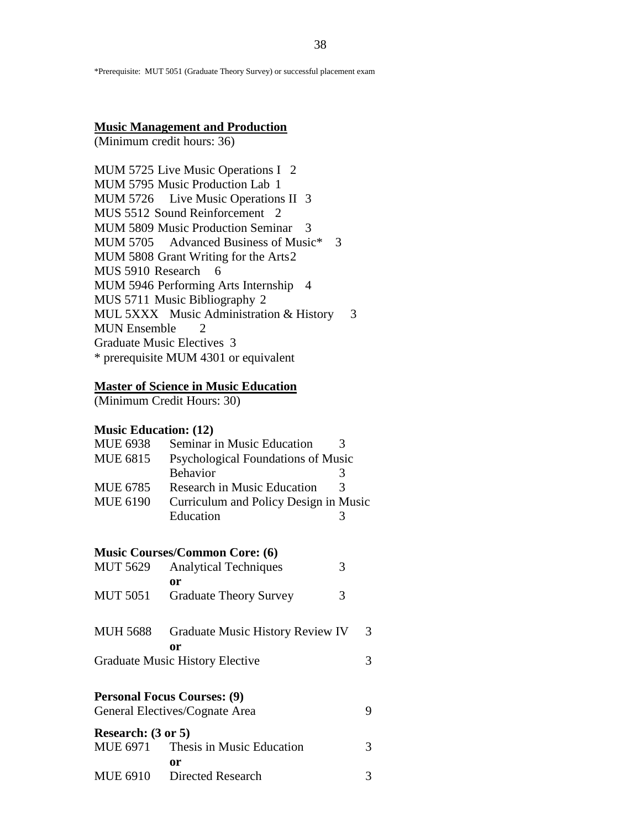\*Prerequisite: MUT 5051 (Graduate Theory Survey) or successful placement exam

#### **Music Management and Production**

(Minimum credit hours: 36)

MUM 5725 Live Music Operations I 2 MUM 5795 Music Production Lab 1 MUM 5726 Live Music Operations II 3 MUS 5512 Sound Reinforcement 2 MUM 5809 Music Production Seminar 3 MUM 5705 Advanced Business of Music\* 3 MUM 5808 Grant Writing for the Arts2 MUS 5910 Research 6 MUM 5946 Performing Arts Internship 4 MUS 5711 Music Bibliography 2 MUL 5XXX Music Administration & History 3 MUN Ensemble 2 Graduate Music Electives 3 \* prerequisite MUM 4301 or equivalent

#### **Master of Science in Music Education**

(Minimum Credit Hours: 30)

#### **Music Education: (12)**

| <b>MUE 6938</b> | Seminar in Music Education            |   |
|-----------------|---------------------------------------|---|
| <b>MUE 6815</b> | Psychological Foundations of Music    |   |
|                 | Behavior                              |   |
| <b>MUE 6785</b> | Research in Music Education           | 3 |
| <b>MUE 6190</b> | Curriculum and Policy Design in Music |   |
|                 | Education                             |   |

#### **Music Courses/Common Core: (6)**

| <b>MUT 5629</b>                       | <b>Analytical Techniques</b>       | 3 |   |  |
|---------------------------------------|------------------------------------|---|---|--|
|                                       | 0r                                 |   |   |  |
| <b>MUT 5051</b>                       | <b>Graduate Theory Survey</b>      | 3 |   |  |
| <b>MUH 5688</b>                       | Graduate Music History Review IV   |   | 3 |  |
| 0r<br>Graduate Music History Elective |                                    |   |   |  |
|                                       | <b>Personal Focus Courses: (9)</b> |   |   |  |
|                                       | General Electives/Cognate Area     |   | 9 |  |
| Research: (3 or 5)                    |                                    |   |   |  |
|                                       | MUE 6971 Thesis in Music Education |   | 3 |  |
|                                       | 0r                                 |   |   |  |
| MUE 6910                              | <b>Directed Research</b>           |   | 3 |  |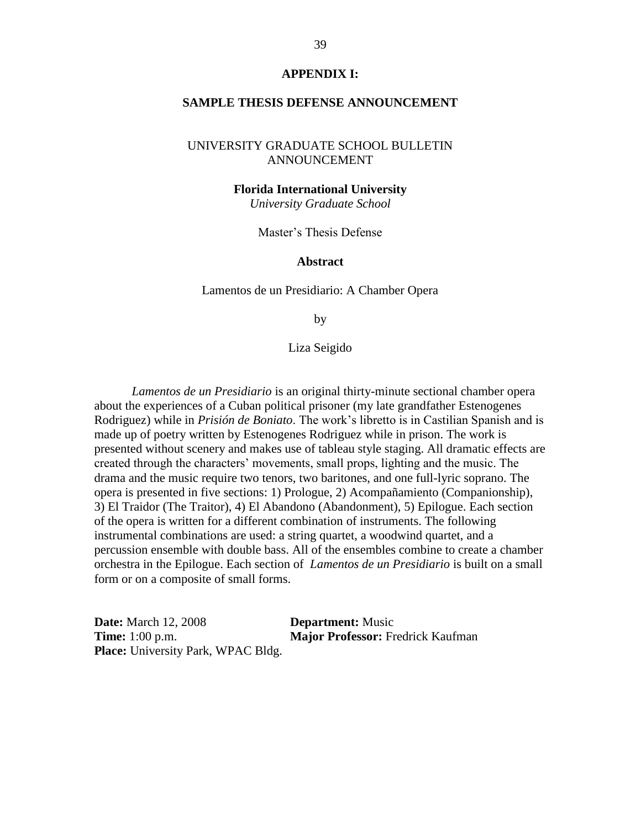#### **APPENDIX I:**

#### **SAMPLE THESIS DEFENSE ANNOUNCEMENT**

## UNIVERSITY GRADUATE SCHOOL BULLETIN ANNOUNCEMENT

#### **Florida International University**

*University Graduate School*

Master's Thesis Defense

#### **Abstract**

Lamentos de un Presidiario: A Chamber Opera

by

Liza Seigido

*Lamentos de un Presidiario* is an original thirty-minute sectional chamber opera about the experiences of a Cuban political prisoner (my late grandfather Estenogenes Rodriguez) while in *Prisión de Boniato*. The work's libretto is in Castilian Spanish and is made up of poetry written by Estenogenes Rodriguez while in prison. The work is presented without scenery and makes use of tableau style staging. All dramatic effects are created through the characters' movements, small props, lighting and the music. The drama and the music require two tenors, two baritones, and one full-lyric soprano. The opera is presented in five sections: 1) Prologue, 2) Acompañamiento (Companionship), 3) El Traidor (The Traitor), 4) El Abandono (Abandonment), 5) Epilogue. Each section of the opera is written for a different combination of instruments. The following instrumental combinations are used: a string quartet, a woodwind quartet, and a percussion ensemble with double bass. All of the ensembles combine to create a chamber orchestra in the Epilogue. Each section of *Lamentos de un Presidiario* is built on a small form or on a composite of small forms.

**Date:** March 12, 2008 **Department:** Music **Time:** 1:00 p.m. **Major Professor:** Fredrick Kaufman **Place:** University Park, WPAC Bldg.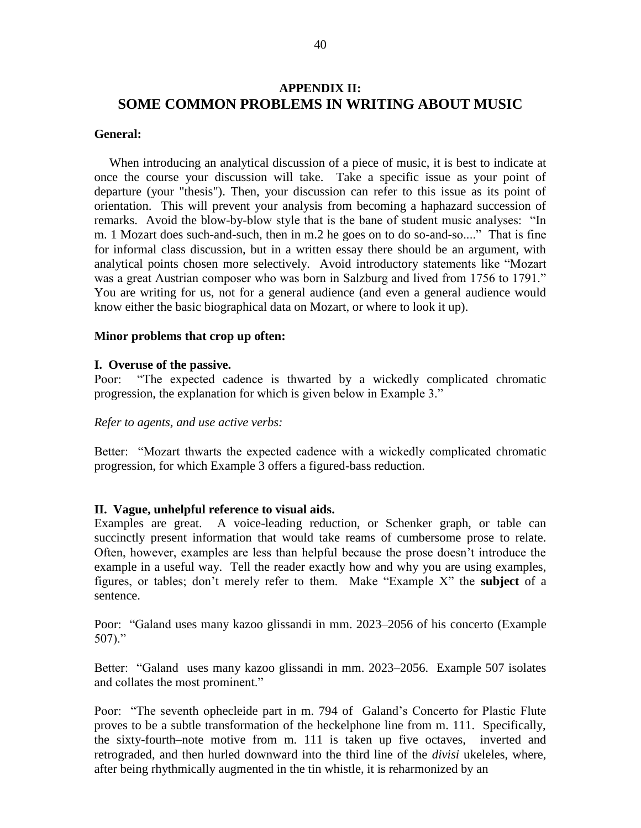# **APPENDIX II: SOME COMMON PROBLEMS IN WRITING ABOUT MUSIC**

#### **General:**

When introducing an analytical discussion of a piece of music, it is best to indicate at once the course your discussion will take. Take a specific issue as your point of departure (your "thesis"). Then, your discussion can refer to this issue as its point of orientation. This will prevent your analysis from becoming a haphazard succession of remarks. Avoid the blow-by-blow style that is the bane of student music analyses: "In m. 1 Mozart does such-and-such, then in m.2 he goes on to do so-and-so...." That is fine for informal class discussion, but in a written essay there should be an argument, with analytical points chosen more selectively. Avoid introductory statements like "Mozart was a great Austrian composer who was born in Salzburg and lived from 1756 to 1791." You are writing for us, not for a general audience (and even a general audience would know either the basic biographical data on Mozart, or where to look it up).

#### **Minor problems that crop up often:**

#### **I. Overuse of the passive.**

Poor: "The expected cadence is thwarted by a wickedly complicated chromatic progression, the explanation for which is given below in Example 3."

#### *Refer to agents, and use active verbs:*

Better: "Mozart thwarts the expected cadence with a wickedly complicated chromatic progression, for which Example 3 offers a figured-bass reduction.

#### **II. Vague, unhelpful reference to visual aids.**

Examples are great. A voice-leading reduction, or Schenker graph, or table can succinctly present information that would take reams of cumbersome prose to relate. Often, however, examples are less than helpful because the prose doesn't introduce the example in a useful way. Tell the reader exactly how and why you are using examples, figures, or tables; don't merely refer to them. Make "Example X" the **subject** of a sentence.

Poor: "Galand uses many kazoo glissandi in mm. 2023–2056 of his concerto (Example 507)."

Better: "Galand uses many kazoo glissandi in mm. 2023–2056. Example 507 isolates and collates the most prominent."

Poor: "The seventh ophecleide part in m. 794 of Galand's Concerto for Plastic Flute proves to be a subtle transformation of the heckelphone line from m. 111. Specifically, the sixty-fourth–note motive from m. 111 is taken up five octaves, inverted and retrograded, and then hurled downward into the third line of the *divisi* ukeleles, where, after being rhythmically augmented in the tin whistle, it is reharmonized by an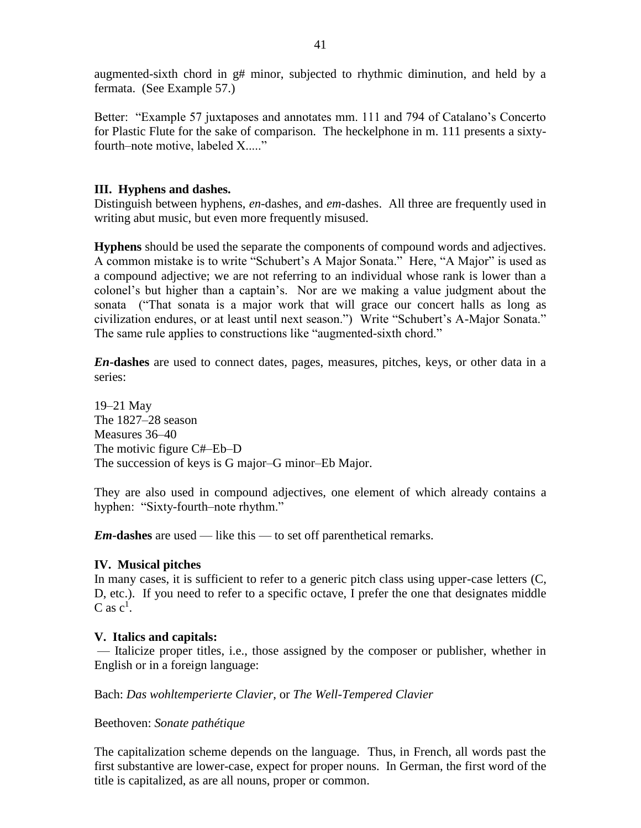augmented-sixth chord in g# minor, subjected to rhythmic diminution, and held by a fermata. (See Example 57.)

Better: "Example 57 juxtaposes and annotates mm. 111 and 794 of Catalano's Concerto for Plastic Flute for the sake of comparison. The heckelphone in m. 111 presents a sixtyfourth–note motive, labeled X....."

## **III. Hyphens and dashes.**

Distinguish between hyphens, *en*-dashes, and *em*-dashes. All three are frequently used in writing abut music, but even more frequently misused.

**Hyphens** should be used the separate the components of compound words and adjectives. A common mistake is to write "Schubert's A Major Sonata." Here, "A Major" is used as a compound adjective; we are not referring to an individual whose rank is lower than a colonel's but higher than a captain's. Nor are we making a value judgment about the sonata ("That sonata is a major work that will grace our concert halls as long as civilization endures, or at least until next season.") Write "Schubert's A-Major Sonata." The same rule applies to constructions like "augmented-sixth chord."

*En***-dashes** are used to connect dates, pages, measures, pitches, keys, or other data in a series:

19–21 May The 1827–28 season Measures 36–40 The motivic figure C#–Eb–D The succession of keys is G major–G minor–Eb Major.

They are also used in compound adjectives, one element of which already contains a hyphen: "Sixty-fourth–note rhythm."

*Em***-dashes** are used — like this — to set off parenthetical remarks.

## **IV. Musical pitches**

In many cases, it is sufficient to refer to a generic pitch class using upper-case letters (C, D, etc.). If you need to refer to a specific octave, I prefer the one that designates middle C as  $c^1$ .

## **V. Italics and capitals:**

— Italicize proper titles, i.e., those assigned by the composer or publisher, whether in English or in a foreign language:

Bach: *Das wohltemperierte Clavier*, or *The Well-Tempered Clavier*

#### Beethoven: *Sonate pathétique*

The capitalization scheme depends on the language. Thus, in French, all words past the first substantive are lower-case, expect for proper nouns. In German, the first word of the title is capitalized, as are all nouns, proper or common.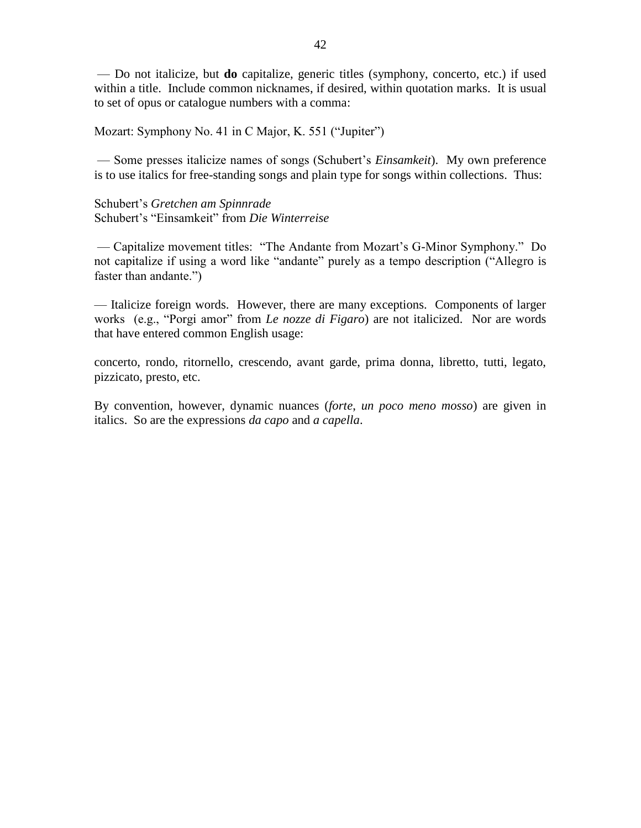— Do not italicize, but **do** capitalize, generic titles (symphony, concerto, etc.) if used within a title. Include common nicknames, if desired, within quotation marks. It is usual to set of opus or catalogue numbers with a comma:

Mozart: Symphony No. 41 in C Major, K. 551 ("Jupiter")

— Some presses italicize names of songs (Schubert's *Einsamkeit*). My own preference is to use italics for free-standing songs and plain type for songs within collections. Thus:

Schubert's *Gretchen am Spinnrade* Schubert's "Einsamkeit" from *Die Winterreise*

— Capitalize movement titles: "The Andante from Mozart's G-Minor Symphony." Do not capitalize if using a word like "andante" purely as a tempo description ("Allegro is faster than andante.")

— Italicize foreign words. However, there are many exceptions. Components of larger works (e.g., "Porgi amor" from *Le nozze di Figaro*) are not italicized. Nor are words that have entered common English usage:

concerto, rondo, ritornello, crescendo, avant garde, prima donna, libretto, tutti, legato, pizzicato, presto, etc.

By convention, however, dynamic nuances (*forte*, *un poco meno mosso*) are given in italics. So are the expressions *da capo* and *a capella*.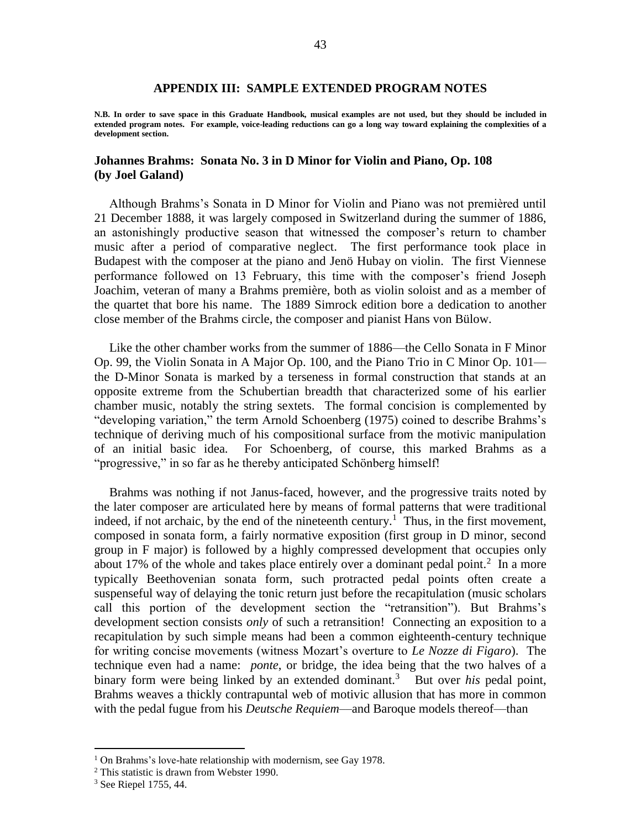#### **APPENDIX III: SAMPLE EXTENDED PROGRAM NOTES**

**N.B. In order to save space in this Graduate Handbook, musical examples are not used, but they should be included in extended program notes. For example, voice-leading reductions can go a long way toward explaining the complexities of a development section.**

#### **Johannes Brahms: Sonata No. 3 in D Minor for Violin and Piano, Op. 108 (by Joel Galand)**

Although Brahms's Sonata in D Minor for Violin and Piano was not premièred until 21 December 1888, it was largely composed in Switzerland during the summer of 1886, an astonishingly productive season that witnessed the composer's return to chamber music after a period of comparative neglect. The first performance took place in Budapest with the composer at the piano and Jenö Hubay on violin. The first Viennese performance followed on 13 February, this time with the composer's friend Joseph Joachim, veteran of many a Brahms première, both as violin soloist and as a member of the quartet that bore his name. The 1889 Simrock edition bore a dedication to another close member of the Brahms circle, the composer and pianist Hans von Bülow.

Like the other chamber works from the summer of 1886––the Cello Sonata in F Minor Op. 99, the Violin Sonata in A Major Op. 100, and the Piano Trio in C Minor Op. 101–– the D-Minor Sonata is marked by a terseness in formal construction that stands at an opposite extreme from the Schubertian breadth that characterized some of his earlier chamber music, notably the string sextets. The formal concision is complemented by "developing variation," the term Arnold Schoenberg (1975) coined to describe Brahms's technique of deriving much of his compositional surface from the motivic manipulation of an initial basic idea. For Schoenberg, of course, this marked Brahms as a "progressive," in so far as he thereby anticipated Schönberg himself!

Brahms was nothing if not Janus-faced, however, and the progressive traits noted by the later composer are articulated here by means of formal patterns that were traditional indeed, if not archaic, by the end of the nineteenth century.<sup>1</sup> Thus, in the first movement, composed in sonata form, a fairly normative exposition (first group in D minor, second group in F major) is followed by a highly compressed development that occupies only about 17% of the whole and takes place entirely over a dominant pedal point.<sup>2</sup> In a more typically Beethovenian sonata form, such protracted pedal points often create a suspenseful way of delaying the tonic return just before the recapitulation (music scholars call this portion of the development section the "retransition"). But Brahms's development section consists *only* of such a retransition! Connecting an exposition to a recapitulation by such simple means had been a common eighteenth-century technique for writing concise movements (witness Mozart's overture to *Le Nozze di Figaro*). The technique even had a name: *ponte*, or bridge, the idea being that the two halves of a binary form were being linked by an extended dominant.<sup>3</sup> But over *his* pedal point, Brahms weaves a thickly contrapuntal web of motivic allusion that has more in common with the pedal fugue from his *Deutsche Requiem*—and Baroque models thereof—than

 $\overline{a}$ 

<sup>&</sup>lt;sup>1</sup> On Brahms's love-hate relationship with modernism, see Gay 1978.

<sup>&</sup>lt;sup>2</sup> This statistic is drawn from Webster 1990.

<sup>3</sup> See Riepel 1755, 44.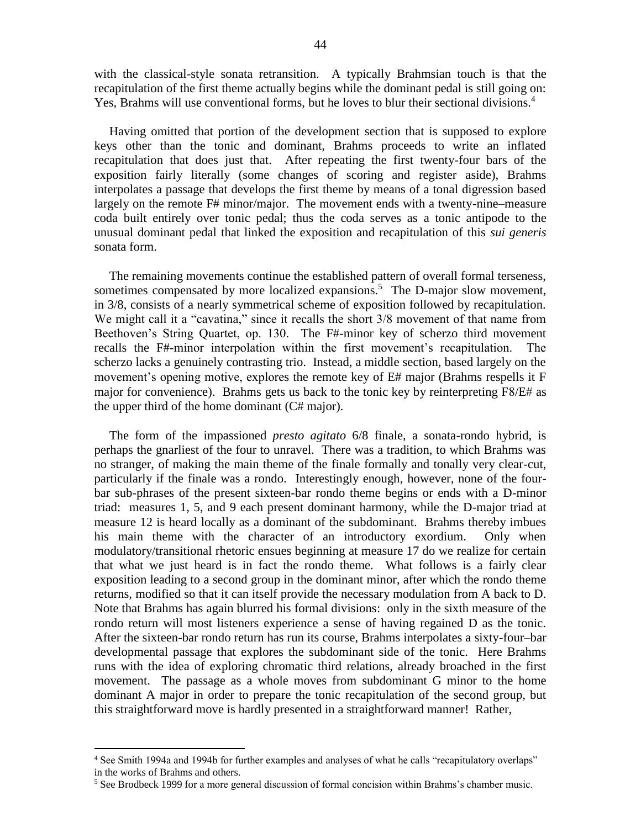with the classical-style sonata retransition. A typically Brahmsian touch is that the recapitulation of the first theme actually begins while the dominant pedal is still going on: Yes, Brahms will use conventional forms, but he loves to blur their sectional divisions.<sup>4</sup>

Having omitted that portion of the development section that is supposed to explore keys other than the tonic and dominant, Brahms proceeds to write an inflated recapitulation that does just that. After repeating the first twenty-four bars of the exposition fairly literally (some changes of scoring and register aside), Brahms interpolates a passage that develops the first theme by means of a tonal digression based largely on the remote F# minor/major. The movement ends with a twenty-nine–measure coda built entirely over tonic pedal; thus the coda serves as a tonic antipode to the unusual dominant pedal that linked the exposition and recapitulation of this *sui generis* sonata form.

The remaining movements continue the established pattern of overall formal terseness, sometimes compensated by more localized expansions.<sup>5</sup> The D-major slow movement, in 3/8, consists of a nearly symmetrical scheme of exposition followed by recapitulation. We might call it a "cavatina," since it recalls the short 3/8 movement of that name from Beethoven's String Quartet, op. 130. The F#-minor key of scherzo third movement recalls the F#-minor interpolation within the first movement's recapitulation. The scherzo lacks a genuinely contrasting trio. Instead, a middle section, based largely on the movement's opening motive, explores the remote key of E# major (Brahms respells it F major for convenience). Brahms gets us back to the tonic key by reinterpreting  $F8/E\#$  as the upper third of the home dominant (C# major).

The form of the impassioned *presto agitato* 6/8 finale, a sonata-rondo hybrid, is perhaps the gnarliest of the four to unravel. There was a tradition, to which Brahms was no stranger, of making the main theme of the finale formally and tonally very clear-cut, particularly if the finale was a rondo. Interestingly enough, however, none of the fourbar sub-phrases of the present sixteen-bar rondo theme begins or ends with a D-minor triad: measures 1, 5, and 9 each present dominant harmony, while the D-major triad at measure 12 is heard locally as a dominant of the subdominant. Brahms thereby imbues his main theme with the character of an introductory exordium. Only when modulatory/transitional rhetoric ensues beginning at measure 17 do we realize for certain that what we just heard is in fact the rondo theme. What follows is a fairly clear exposition leading to a second group in the dominant minor, after which the rondo theme returns, modified so that it can itself provide the necessary modulation from A back to D. Note that Brahms has again blurred his formal divisions: only in the sixth measure of the rondo return will most listeners experience a sense of having regained D as the tonic. After the sixteen-bar rondo return has run its course, Brahms interpolates a sixty-four–bar developmental passage that explores the subdominant side of the tonic. Here Brahms runs with the idea of exploring chromatic third relations, already broached in the first movement. The passage as a whole moves from subdominant G minor to the home dominant A major in order to prepare the tonic recapitulation of the second group, but this straightforward move is hardly presented in a straightforward manner! Rather,

 $\overline{a}$ 

<sup>4</sup> See Smith 1994a and 1994b for further examples and analyses of what he calls "recapitulatory overlaps" in the works of Brahms and others.

<sup>&</sup>lt;sup>5</sup> See Brodbeck 1999 for a more general discussion of formal concision within Brahms's chamber music.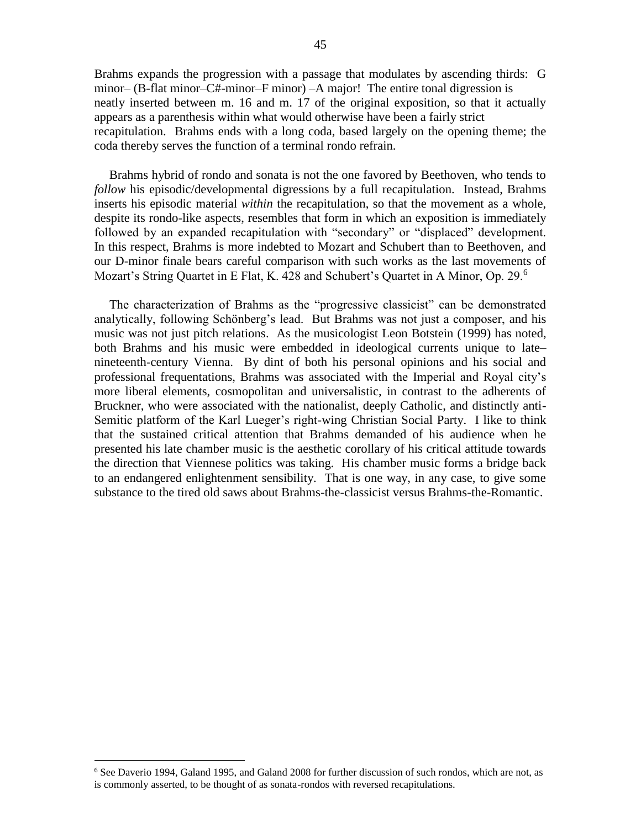Brahms expands the progression with a passage that modulates by ascending thirds: G minor– (B-flat minor–C#-minor–F minor) –A major! The entire tonal digression is neatly inserted between m. 16 and m. 17 of the original exposition, so that it actually appears as a parenthesis within what would otherwise have been a fairly strict recapitulation. Brahms ends with a long coda, based largely on the opening theme; the coda thereby serves the function of a terminal rondo refrain.

Brahms hybrid of rondo and sonata is not the one favored by Beethoven, who tends to *follow* his episodic/developmental digressions by a full recapitulation. Instead, Brahms inserts his episodic material *within* the recapitulation, so that the movement as a whole, despite its rondo-like aspects, resembles that form in which an exposition is immediately followed by an expanded recapitulation with "secondary" or "displaced" development. In this respect, Brahms is more indebted to Mozart and Schubert than to Beethoven, and our D-minor finale bears careful comparison with such works as the last movements of Mozart's String Quartet in E Flat, K. 428 and Schubert's Quartet in A Minor, Op. 29.<sup>6</sup>

The characterization of Brahms as the "progressive classicist" can be demonstrated analytically, following Schönberg's lead. But Brahms was not just a composer, and his music was not just pitch relations. As the musicologist Leon Botstein (1999) has noted, both Brahms and his music were embedded in ideological currents unique to late– nineteenth-century Vienna. By dint of both his personal opinions and his social and professional frequentations, Brahms was associated with the Imperial and Royal city's more liberal elements, cosmopolitan and universalistic, in contrast to the adherents of Bruckner, who were associated with the nationalist, deeply Catholic, and distinctly anti-Semitic platform of the Karl Lueger's right-wing Christian Social Party. I like to think that the sustained critical attention that Brahms demanded of his audience when he presented his late chamber music is the aesthetic corollary of his critical attitude towards the direction that Viennese politics was taking. His chamber music forms a bridge back to an endangered enlightenment sensibility. That is one way, in any case, to give some substance to the tired old saws about Brahms-the-classicist versus Brahms-the-Romantic.

 $\overline{a}$ 

 $6$  See Daverio 1994, Galand 1995, and Galand 2008 for further discussion of such rondos, which are not, as is commonly asserted, to be thought of as sonata-rondos with reversed recapitulations.